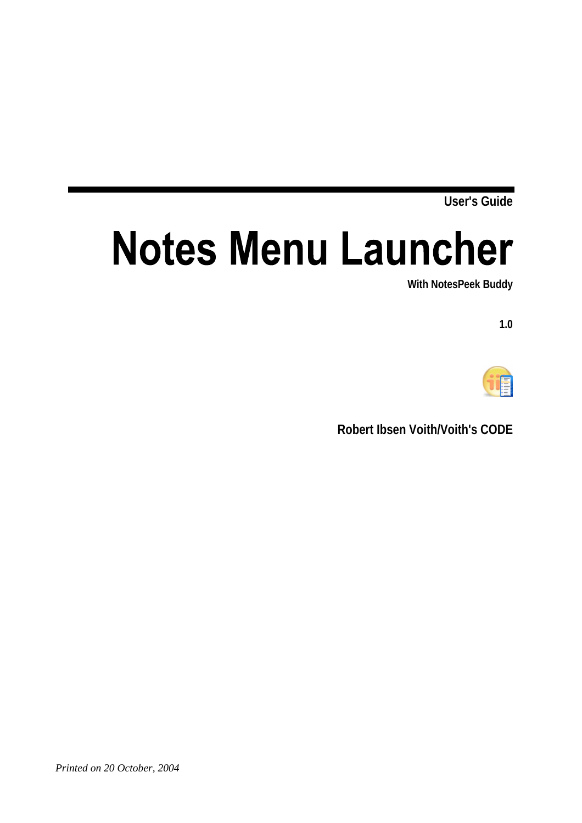**User's Guide** 

# **Notes Menu Launcher**

**With NotesPeek Buddy** 

**1.0** 



**Robert Ibsen Voith/Voith's CODE**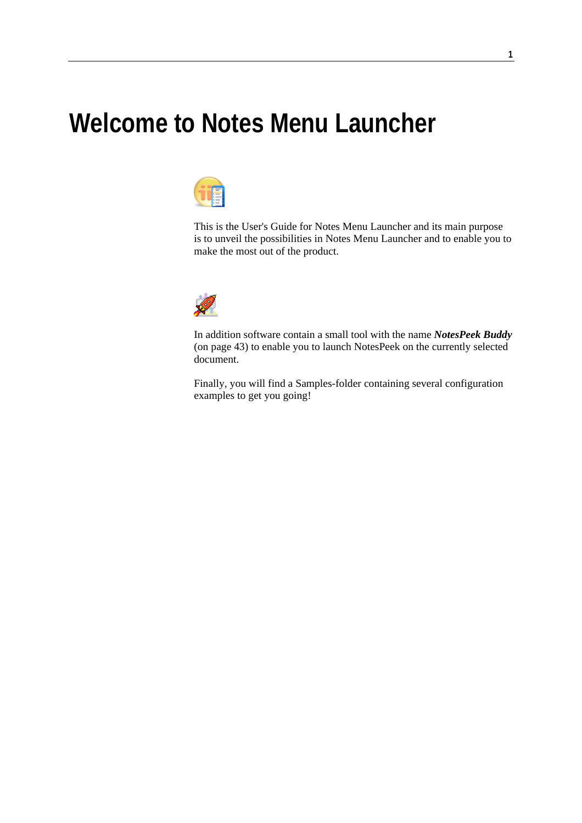# **Welcome to Notes Menu Launcher**



This is the User's Guide for Notes Menu Launcher and its main purpose is to unveil the possibilities in Notes Menu Launcher and to enable you to make the most out of the product.



In addition software contain a small tool with the name *NotesPeek Buddy* (on page 43) to enable you to launch NotesPeek on the currently selected document.

Finally, you will find a Samples-folder containing several configuration examples to get you going!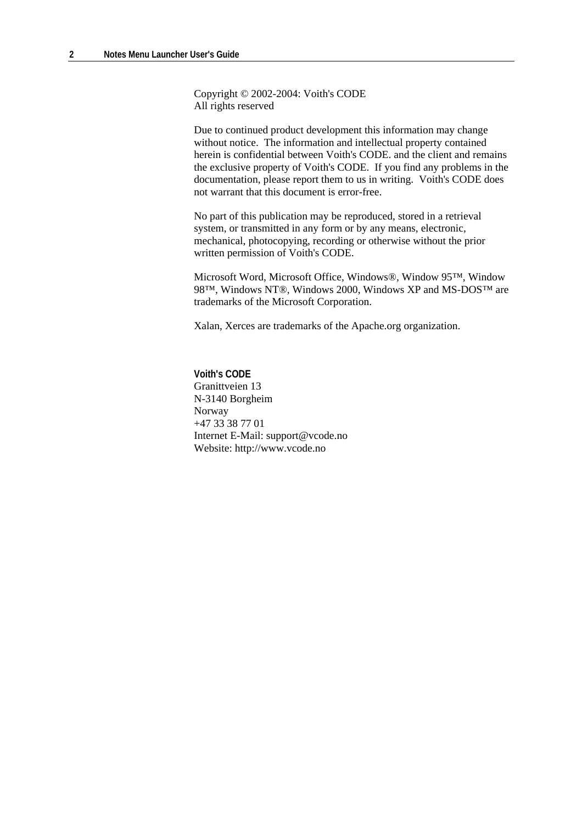Copyright © 2002-2004: Voith's CODE All rights reserved

Due to continued product development this information may change without notice. The information and intellectual property contained herein is confidential between Voith's CODE. and the client and remains the exclusive property of Voith's CODE. If you find any problems in the documentation, please report them to us in writing. Voith's CODE does not warrant that this document is error-free.

No part of this publication may be reproduced, stored in a retrieval system, or transmitted in any form or by any means, electronic, mechanical, photocopying, recording or otherwise without the prior written permission of Voith's CODE.

Microsoft Word, Microsoft Office, Windows®, Window 95™, Window 98™, Windows NT®, Windows 2000, Windows XP and MS-DOS™ are trademarks of the Microsoft Corporation.

Xalan, Xerces are trademarks of the Apache.org organization.

**Voith's CODE** Granittveien 13 N-3140 Borgheim Norway +47 33 38 77 01 Internet E-Mail: support@vcode.no Website: http://www.vcode.no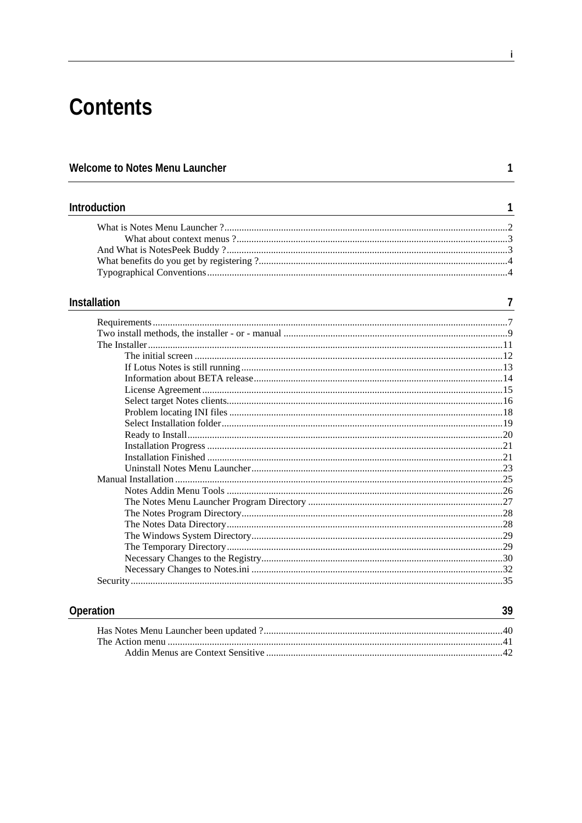# **Contents**

| Welcome to Notes Menu Launcher |   |
|--------------------------------|---|
| Introduction                   | 1 |
|                                |   |
|                                |   |
|                                |   |
|                                |   |
|                                |   |
| <b>Installation</b>            | 7 |
|                                |   |
|                                |   |
|                                |   |
|                                |   |
|                                |   |
|                                |   |
|                                |   |
|                                |   |
|                                |   |
|                                |   |
|                                |   |
|                                |   |
|                                |   |
|                                |   |
|                                |   |
|                                |   |
|                                |   |
|                                |   |
|                                |   |
|                                |   |
|                                |   |
|                                |   |
|                                |   |

#### Operation

39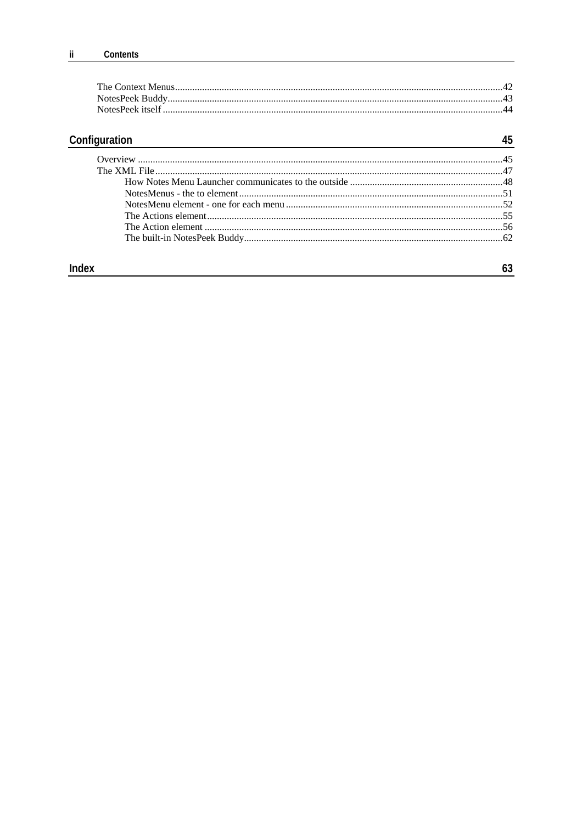# Configuration

### 45

### **Index**

### $63$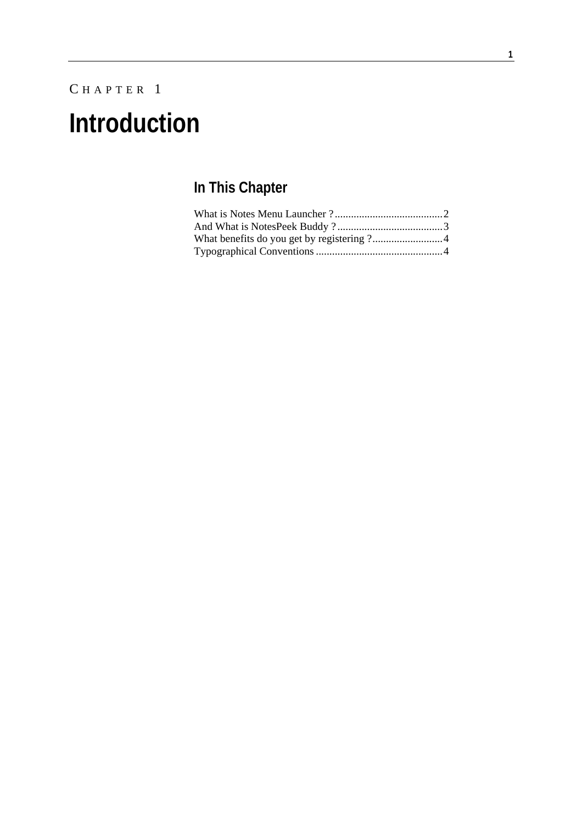# C HAPTER 1 **Introduction**

# **In This Chapter**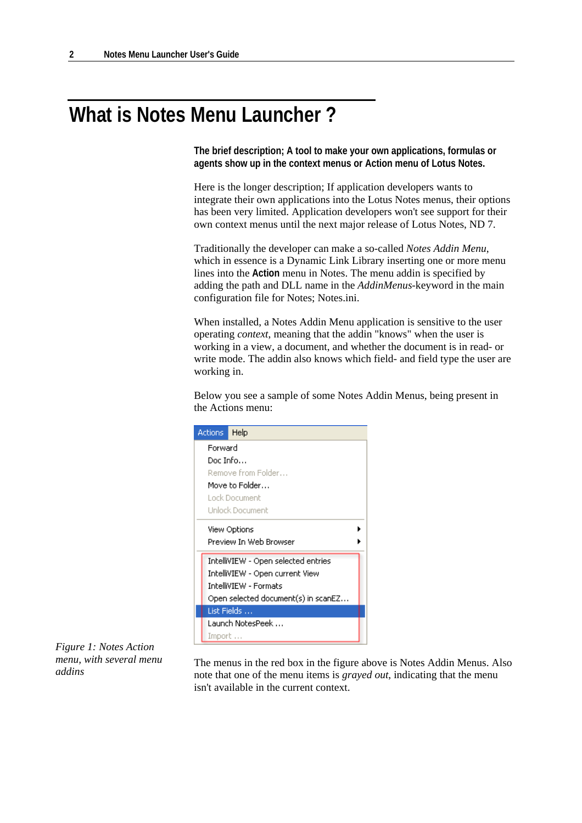# **What is Notes Menu Launcher ?**

**The brief description; A tool to make your own applications, formulas or agents show up in the context menus or Action menu of Lotus Notes.** 

Here is the longer description; If application developers wants to integrate their own applications into the Lotus Notes menus, their options has been very limited. Application developers won't see support for their own context menus until the next major release of Lotus Notes, ND 7.

Traditionally the developer can make a so-called *Notes Addin Menu*, which in essence is a Dynamic Link Library inserting one or more menu lines into the **Action** menu in Notes. The menu addin is specified by adding the path and DLL name in the *AddinMenus*-keyword in the main configuration file for Notes; Notes.ini.

When installed, a Notes Addin Menu application is sensitive to the user operating *context*, meaning that the addin "knows" when the user is working in a view, a document, and whether the document is in read- or write mode. The addin also knows which field- and field type the user are working in.

Below you see a sample of some Notes Addin Menus, being present in the Actions menu:



*Figure 1: Notes Action menu, with several menu addins* 

The menus in the red box in the figure above is Notes Addin Menus. Also note that one of the menu items is *grayed out*, indicating that the menu isn't available in the current context.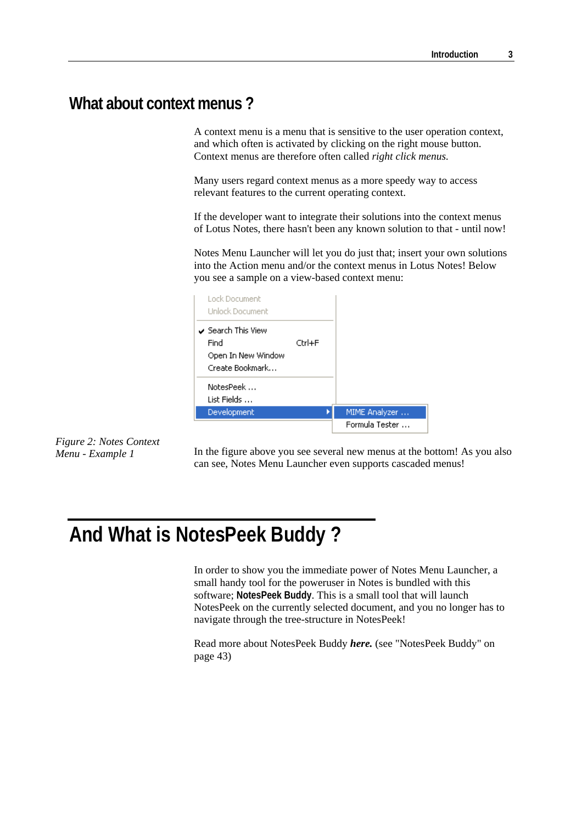### **What about context menus ?**

A context menu is a menu that is sensitive to the user operation context, and which often is activated by clicking on the right mouse button. Context menus are therefore often called *right click menus.* 

Many users regard context menus as a more speedy way to access relevant features to the current operating context.

If the developer want to integrate their solutions into the context menus of Lotus Notes, there hasn't been any known solution to that - until now!

Notes Menu Launcher will let you do just that; insert your own solutions into the Action menu and/or the context menus in Lotus Notes! Below you see a sample on a view-based context menu:

| Lock Document<br><b>Unlock Document</b>                                        |              |                |
|--------------------------------------------------------------------------------|--------------|----------------|
| $\checkmark$ Search This View<br>Find<br>Open In New Window<br>Create Bookmark | $C$ rrl $+F$ |                |
| NotesPeek<br>List Fields                                                       |              |                |
| Development                                                                    |              | MIME Analyzer  |
|                                                                                |              | Formula Tester |

*Figure 2: Notes Context Menu - Example 1* 

In the figure above you see several new menus at the bottom! As you also can see, Notes Menu Launcher even supports cascaded menus!

# **And What is NotesPeek Buddy ?**

In order to show you the immediate power of Notes Menu Launcher, a small handy tool for the poweruser in Notes is bundled with this software; **NotesPeek Buddy**. This is a small tool that will launch NotesPeek on the currently selected document, and you no longer has to navigate through the tree-structure in NotesPeek!

Read more about NotesPeek Buddy *here.* (see "NotesPeek Buddy" on page 43)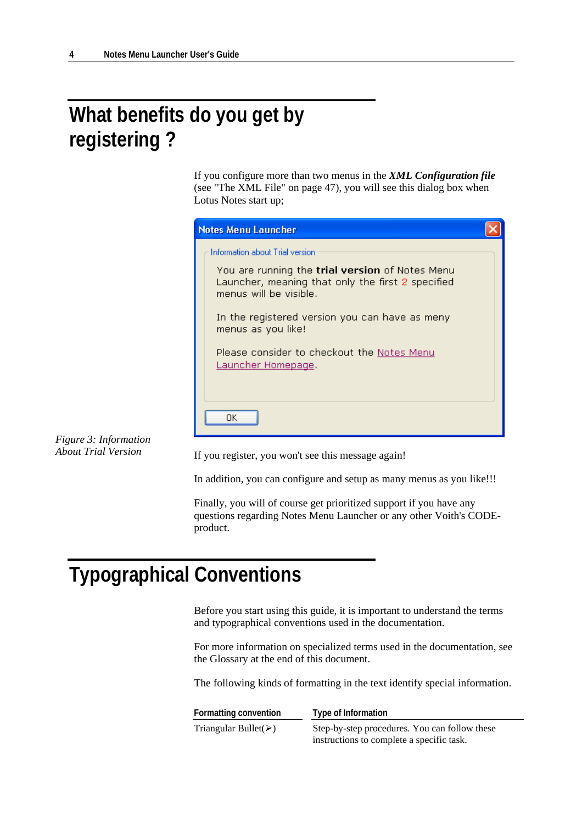# **What benefits do you get by registering ?**

If you configure more than two menus in the *XML Configuration file* (see "The XML File" on page 47), you will see this dialog box when Lotus Notes start up;



*Figure 3: Information About Trial Version* 

If you register, you won't see this message again!

In addition, you can configure and setup as many menus as you like!!!

Finally, you will of course get prioritized support if you have any questions regarding Notes Menu Launcher or any other Voith's CODEproduct.

# **Typographical Conventions**

Before you start using this guide, it is important to understand the terms and typographical conventions used in the documentation.

For more information on specialized terms used in the documentation, see the Glossary at the end of this document.

The following kinds of formatting in the text identify special information.

| Formatting convention                 | Type of Information                           |
|---------------------------------------|-----------------------------------------------|
| Triangular Bullet( $\triangleright$ ) | Step-by-step procedures. You can follow these |
|                                       | instructions to complete a specific task.     |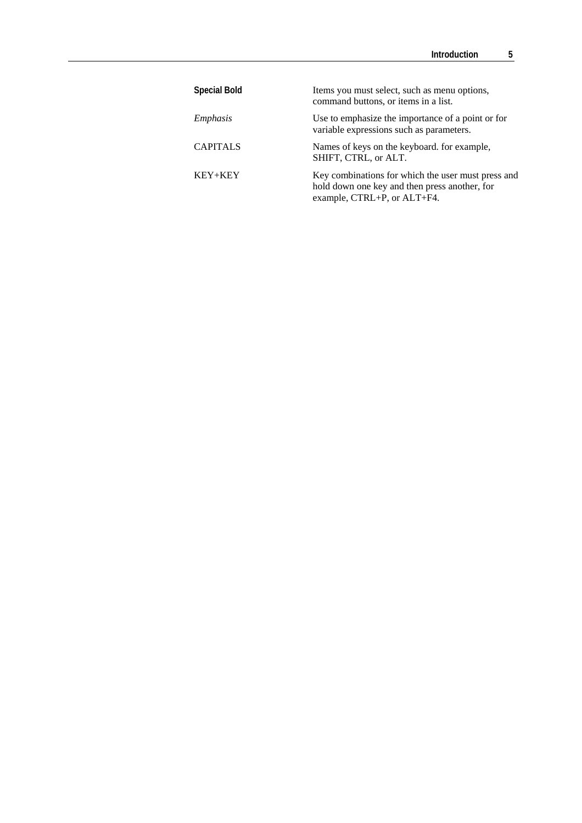| <b>Special Bold</b> | Items you must select, such as menu options,<br>command buttons, or items in a list.                                               |
|---------------------|------------------------------------------------------------------------------------------------------------------------------------|
| Emphasis            | Use to emphasize the importance of a point or for<br>variable expressions such as parameters.                                      |
| <b>CAPITALS</b>     | Names of keys on the keyboard. for example,<br>SHIFT, CTRL, or ALT.                                                                |
| KEY+KEY             | Key combinations for which the user must press and<br>hold down one key and then press another, for<br>example, CTRL+P, or ALT+F4. |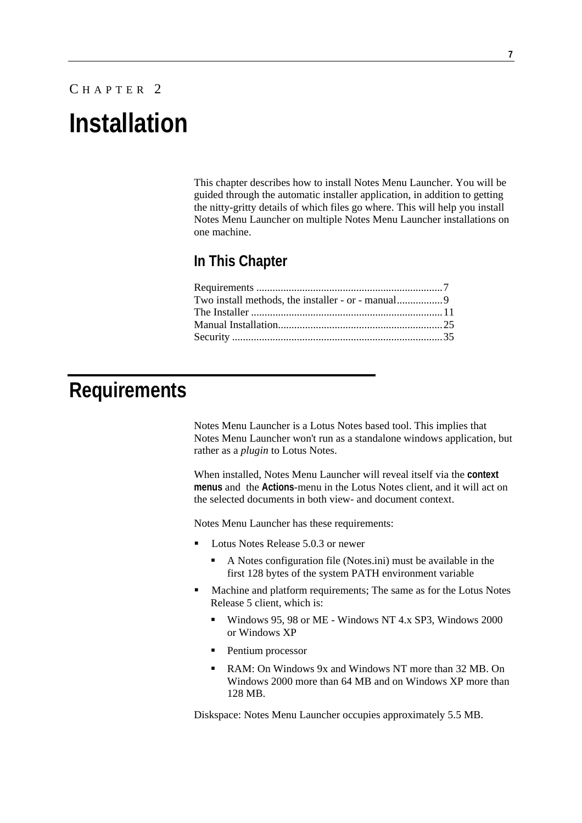# C HAPTER 2 **Installation**

This chapter describes how to install Notes Menu Launcher. You will be guided through the automatic installer application, in addition to getting the nitty-gritty details of which files go where. This will help you install Notes Menu Launcher on multiple Notes Menu Launcher installations on one machine.

### **In This Chapter**

# **Requirements**

Notes Menu Launcher is a Lotus Notes based tool. This implies that Notes Menu Launcher won't run as a standalone windows application, but rather as a *plugin* to Lotus Notes.

When installed, Notes Menu Launcher will reveal itself via the **context menus** and the **Actions**-menu in the Lotus Notes client, and it will act on the selected documents in both view- and document context.

Notes Menu Launcher has these requirements:

- Lotus Notes Release 5.0.3 or newer
	- A Notes configuration file (Notes.ini) must be available in the first 128 bytes of the system PATH environment variable
- **Machine and platform requirements; The same as for the Lotus Notes** Release 5 client, which is:
	- Windows 95, 98 or ME Windows NT 4.x SP3, Windows 2000 or Windows XP
	- Pentium processor
	- RAM: On Windows 9x and Windows NT more than 32 MB. On Windows 2000 more than 64 MB and on Windows XP more than 128 MB.

Diskspace: Notes Menu Launcher occupies approximately 5.5 MB.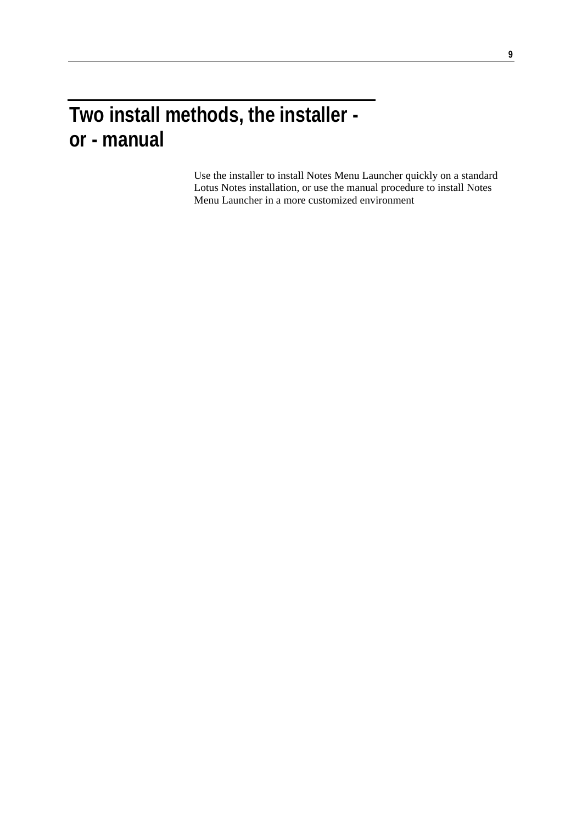# **Two install methods, the installer or - manual**

Use the installer to install Notes Menu Launcher quickly on a standard Lotus Notes installation, or use the manual procedure to install Notes Menu Launcher in a more customized environment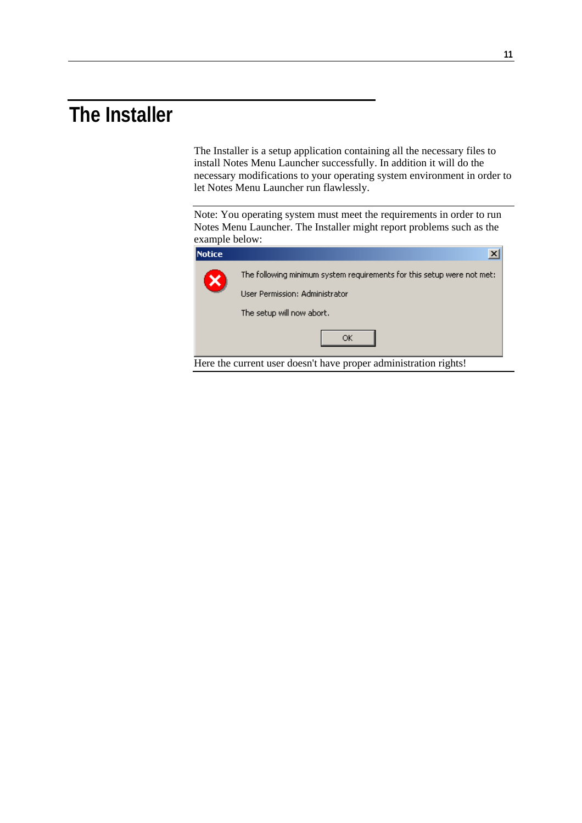# **The Installer**

The Installer is a setup application containing all the necessary files to install Notes Menu Launcher successfully. In addition it will do the necessary modifications to your operating system environment in order to let Notes Menu Launcher run flawlessly.

Note: You operating system must meet the requirements in order to run Notes Menu Launcher. The Installer might report problems such as the example below:

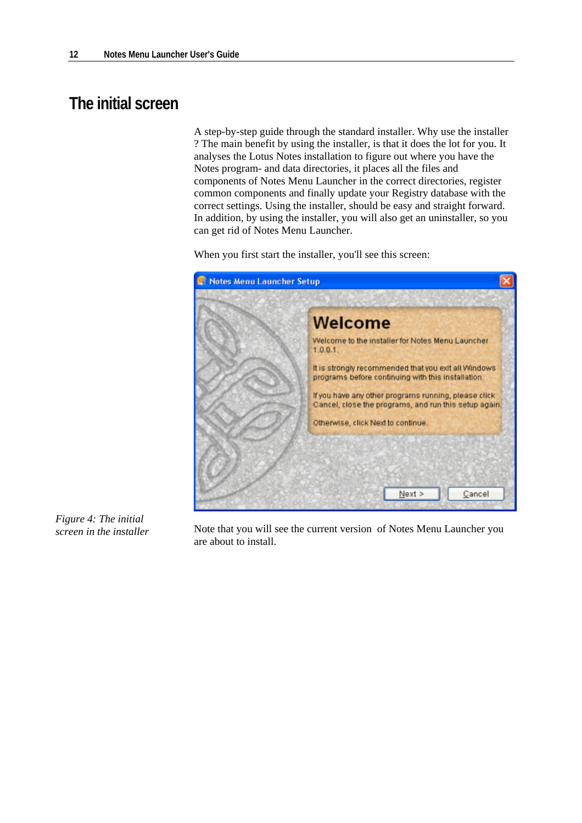# **The initial screen**

A step-by-step guide through the standard installer. Why use the installer ? The main benefit by using the installer, is that it does the lot for you. It analyses the Lotus Notes installation to figure out where you have the Notes program- and data directories, it places all the files and components of Notes Menu Launcher in the correct directories, register common components and finally update your Registry database with the correct settings. Using the installer, should be easy and straight forward. In addition, by using the installer, you will also get an uninstaller, so you can get rid of Notes Menu Launcher.

When you first start the installer, you'll see this screen:



*Figure 4: The initial screen in the installer* 

Note that you will see the current version of Notes Menu Launcher you are about to install.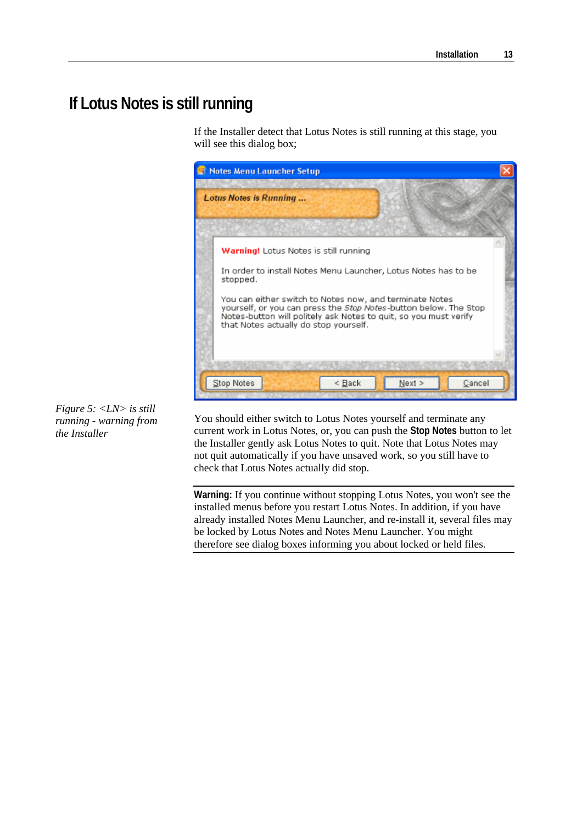# **If Lotus Notes is still running**

If the Installer detect that Lotus Notes is still running at this stage, you will see this dialog box;



*Figure 5: <LN> is still running - warning from the Installer* 

You should either switch to Lotus Notes yourself and terminate any current work in Lotus Notes, or, you can push the **Stop Notes** button to let the Installer gently ask Lotus Notes to quit. Note that Lotus Notes may not quit automatically if you have unsaved work, so you still have to check that Lotus Notes actually did stop.

**Warning:** If you continue without stopping Lotus Notes, you won't see the installed menus before you restart Lotus Notes. In addition, if you have already installed Notes Menu Launcher, and re-install it, several files may be locked by Lotus Notes and Notes Menu Launcher. You might therefore see dialog boxes informing you about locked or held files.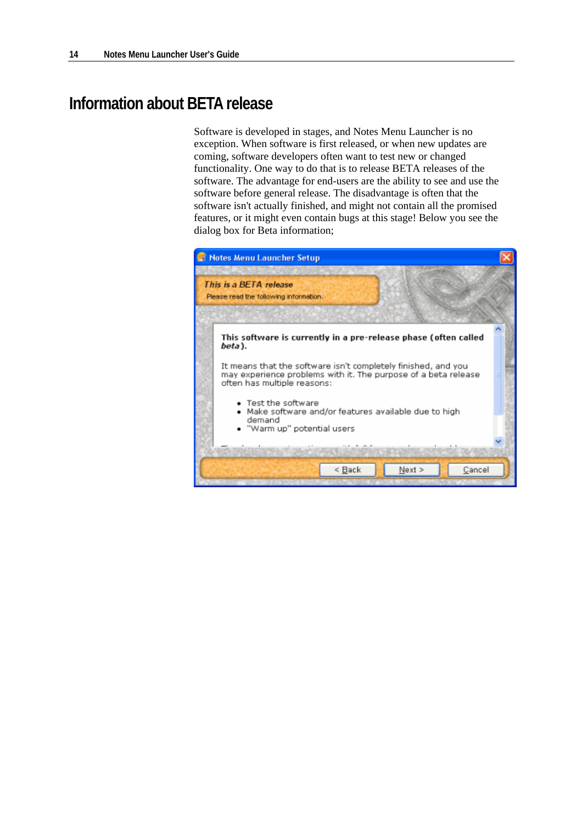### **Information about BETA release**

Software is developed in stages, and Notes Menu Launcher is no exception. When software is first released, or when new updates are coming, software developers often want to test new or changed functionality. One way to do that is to release BETA releases of the software. The advantage for end-users are the ability to see and use the software before general release. The disadvantage is often that the software isn't actually finished, and might not contain all the promised features, or it might even contain bugs at this stage! Below you see the dialog box for Beta information;

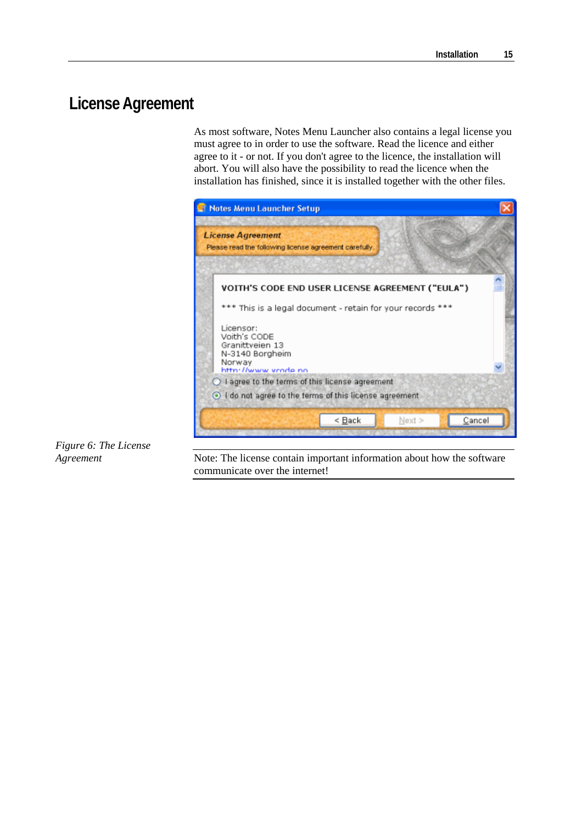# **License Agreement**

As most software, Notes Menu Launcher also contains a legal license you must agree to in order to use the software. Read the licence and either agree to it - or not. If you don't agree to the licence, the installation will abort. You will also have the possibility to read the licence when the installation has finished, since it is installed together with the other files.



*Figure 6: The License Agreement* 

Note: The license contain important information about how the software communicate over the internet!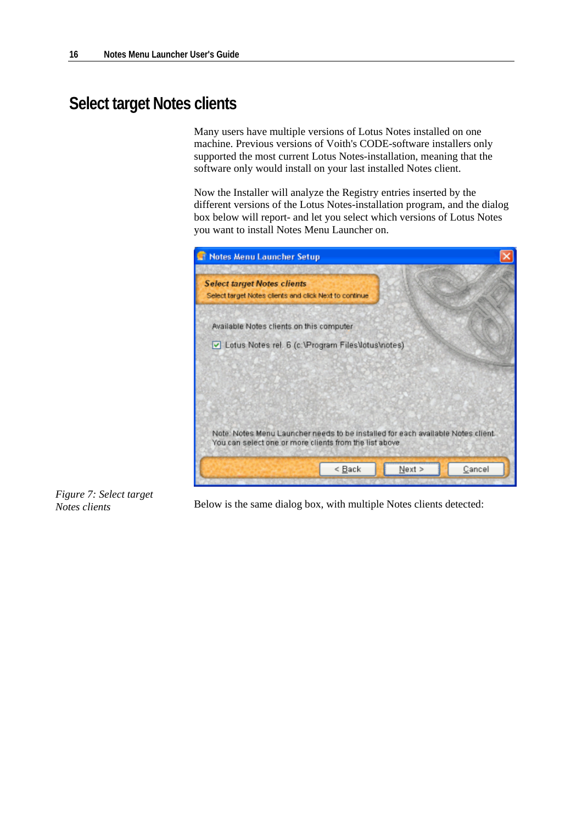# **Select target Notes clients**

Many users have multiple versions of Lotus Notes installed on one machine. Previous versions of Voith's CODE-software installers only supported the most current Lotus Notes-installation, meaning that the software only would install on your last installed Notes client.

Now the Installer will analyze the Registry entries inserted by the different versions of the Lotus Notes-installation program, and the dialog box below will report- and let you select which versions of Lotus Notes you want to install Notes Menu Launcher on.





Below is the same dialog box, with multiple Notes clients detected: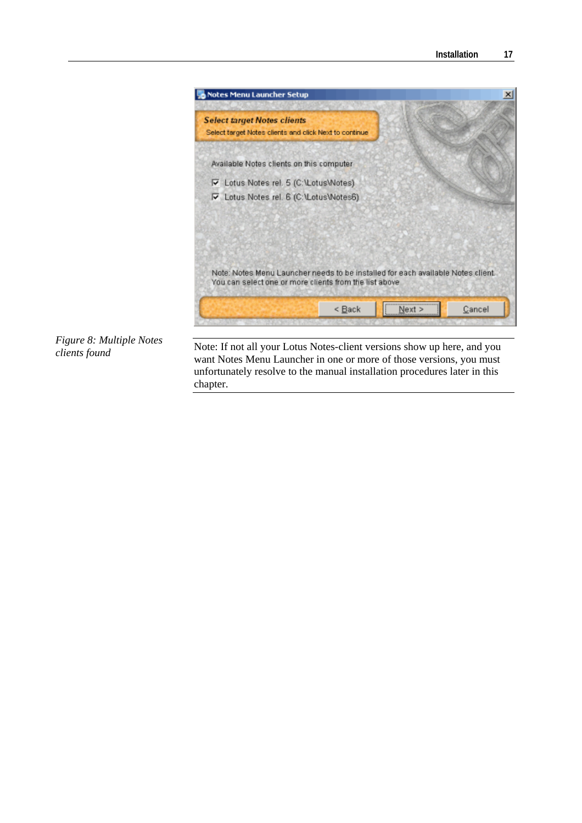

*Figure 8: Multiple Notes clients found* 

Note: If not all your Lotus Notes-client versions show up here, and you want Notes Menu Launcher in one or more of those versions, you must unfortunately resolve to the manual installation procedures later in this chapter.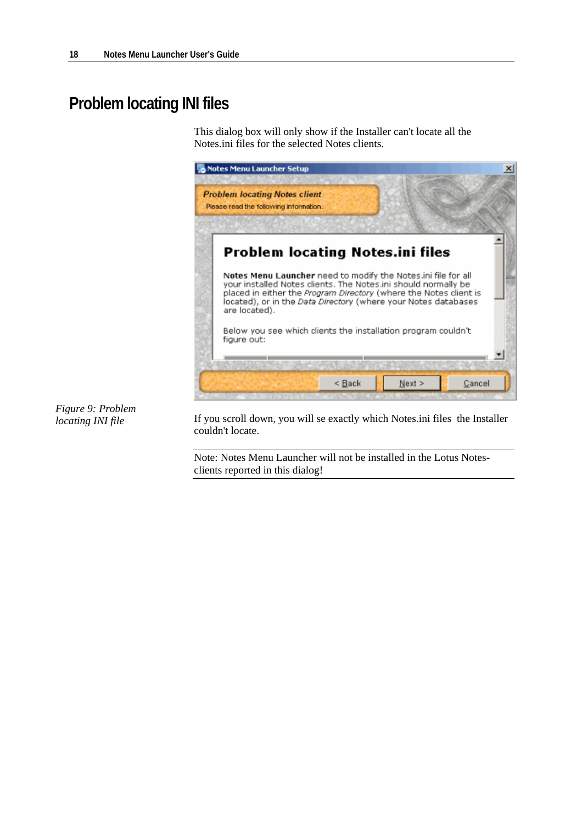# **Problem locating INI files**

This dialog box will only show if the Installer can't locate all the Notes.ini files for the selected Notes clients.



*Figure 9: Problem locating INI file* 

If you scroll down, you will se exactly which Notes.ini files the Installer couldn't locate.

Note: Notes Menu Launcher will not be installed in the Lotus Notesclients reported in this dialog!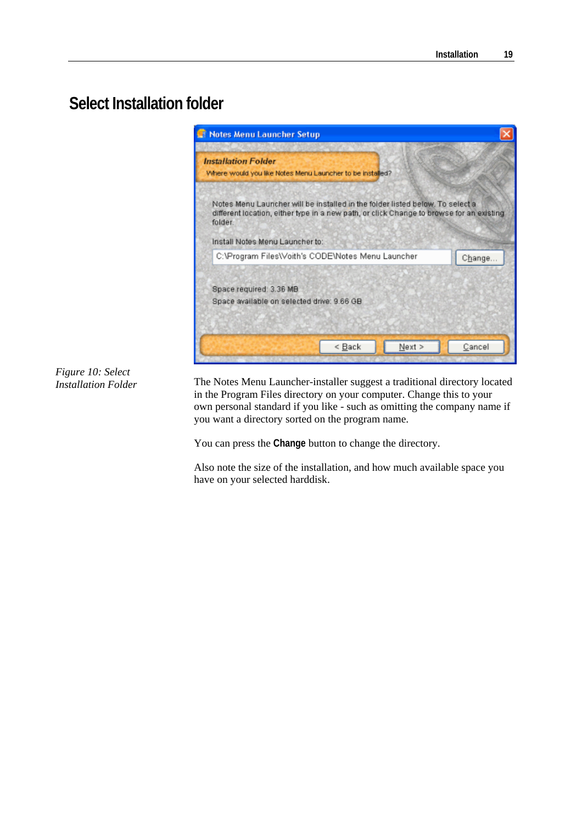# **Select Installation folder**



#### *Figure 10: Select Installation Folder*

The Notes Menu Launcher-installer suggest a traditional directory located in the Program Files directory on your computer. Change this to your own personal standard if you like - such as omitting the company name if you want a directory sorted on the program name.

You can press the **Change** button to change the directory.

Also note the size of the installation, and how much available space you have on your selected harddisk.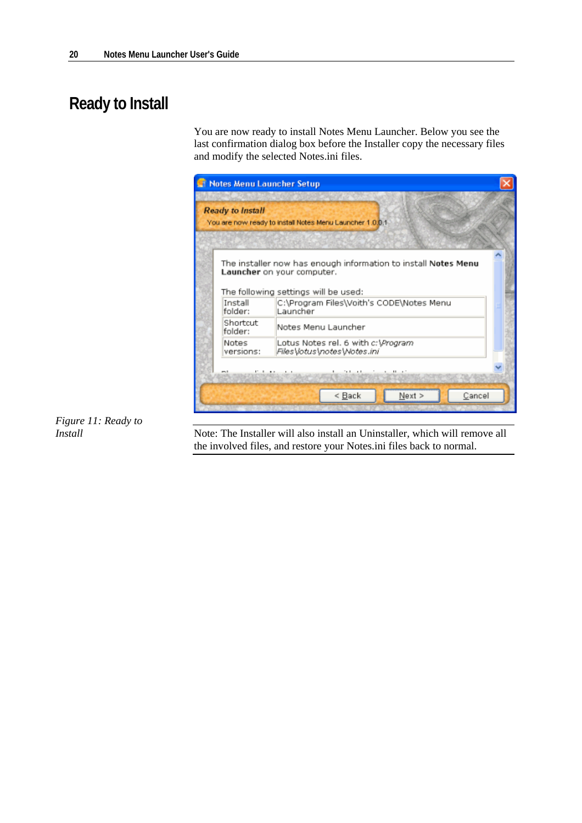# **Ready to Install**

You are now ready to install Notes Menu Launcher. Below you see the last confirmation dialog box before the Installer copy the necessary files and modify the selected Notes.ini files.



*Figure 11: Ready to Install* 

Note: The Installer will also install an Uninstaller, which will remove all the involved files, and restore your Notes.ini files back to normal.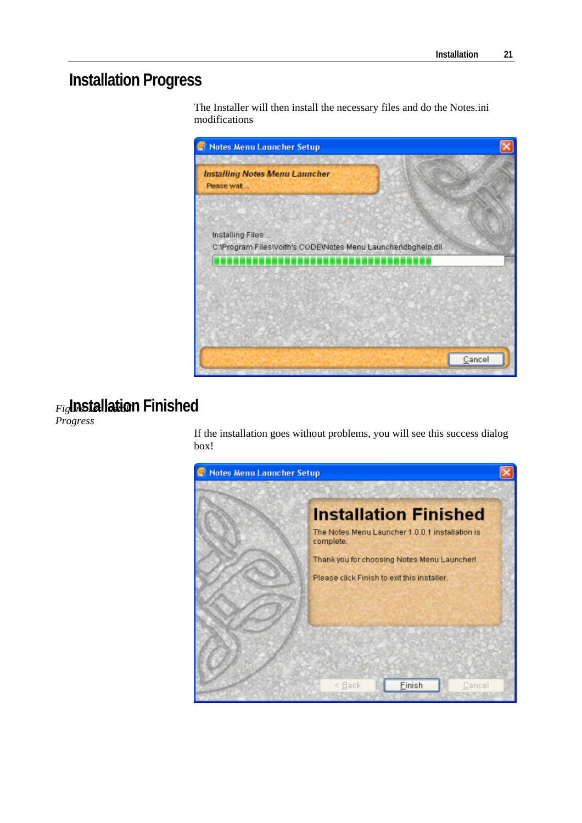# **Installation Progress**

The Installer will then install the necessary files and do the Notes.ini modifications



### **Installation Finished**  *Figure 12: Install*

*Progress* 

If the installation goes without problems, you will see this success dialog box!

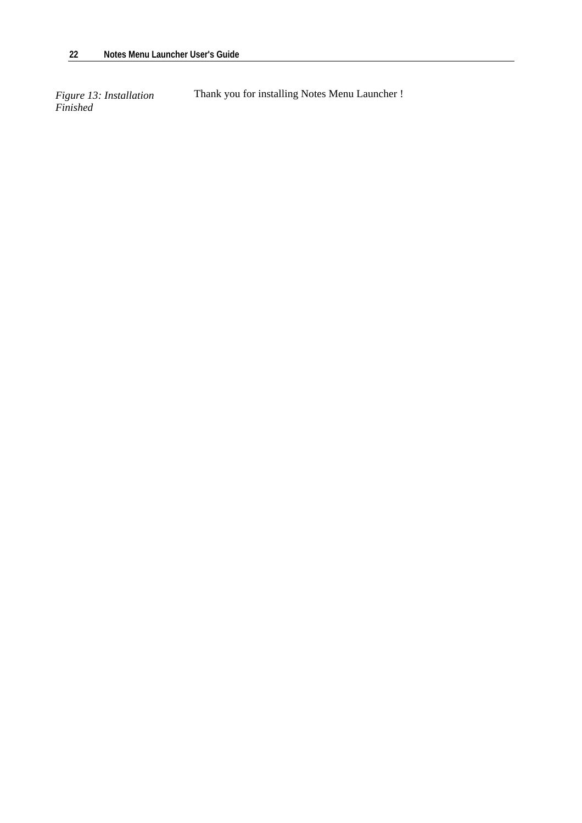*Figure 13: Installation*<br>*Finished* 

**Thank you for installing Notes Menu Launcher !**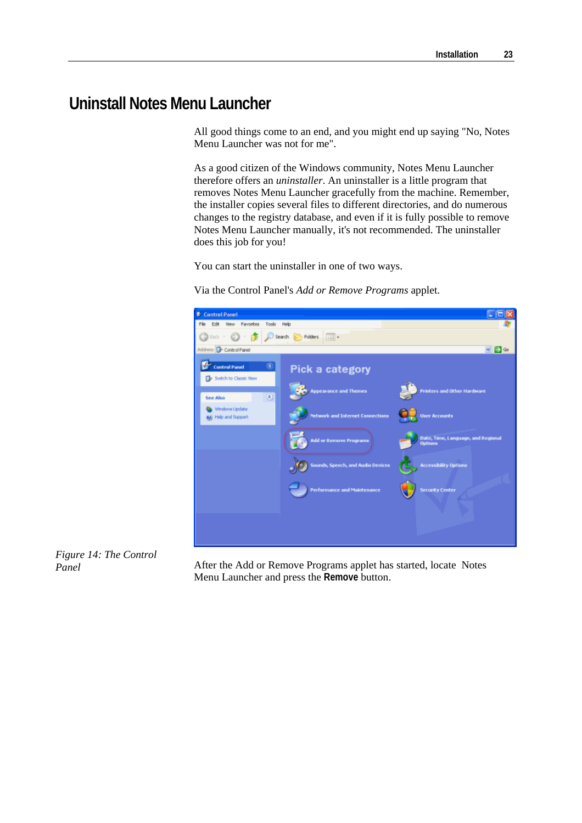### **Uninstall Notes Menu Launcher**

All good things come to an end, and you might end up saying "No, Notes Menu Launcher was not for me".

As a good citizen of the Windows community, Notes Menu Launcher therefore offers an *uninstaller*. An uninstaller is a little program that removes Notes Menu Launcher gracefully from the machine. Remember, the installer copies several files to different directories, and do numerous changes to the registry database, and even if it is fully possible to remove Notes Menu Launcher manually, it's not recommended. The uninstaller does this job for you!

You can start the uninstaller in one of two ways.

Via the Control Panel's *Add or Remove Programs* applet.



*Figure 14: The Control Panel* 

After the Add or Remove Programs applet has started, locate Notes Menu Launcher and press the **Remove** button.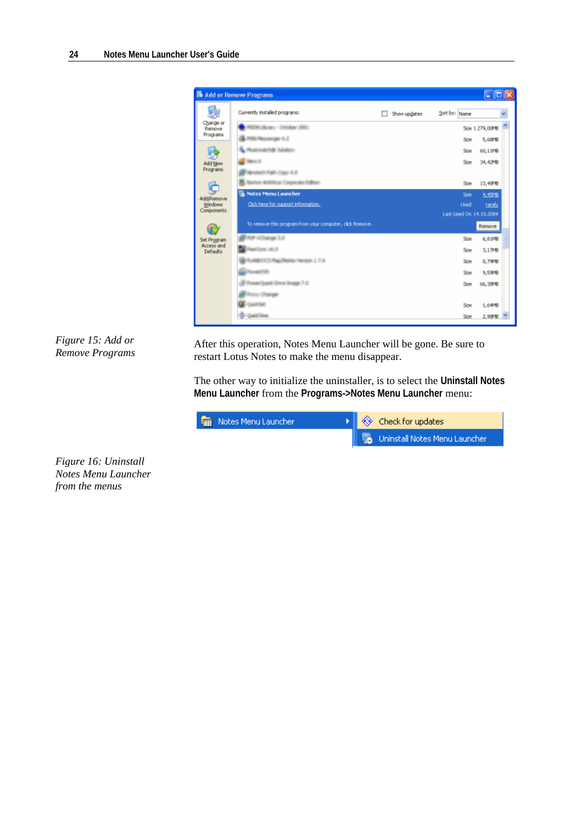

*Figure 15: Add or Remove Programs* 

After this operation, Notes Menu Launcher will be gone. Be sure to restart Lotus Notes to make the menu disappear.

The other way to initialize the uninstaller, is to select the **Uninstall Notes Menu Launcher** from the **Programs->Notes Menu Launcher** menu:

| <b>Read Notes Menu Launcher</b> | $\ \cdot\ $ $\Leftrightarrow$ Check for updates |
|---------------------------------|-------------------------------------------------|
|                                 | <b>Jo</b> Uninstall Notes Menu Launcher         |

*Figure 16: Uninstall Notes Menu Launcher from the menus*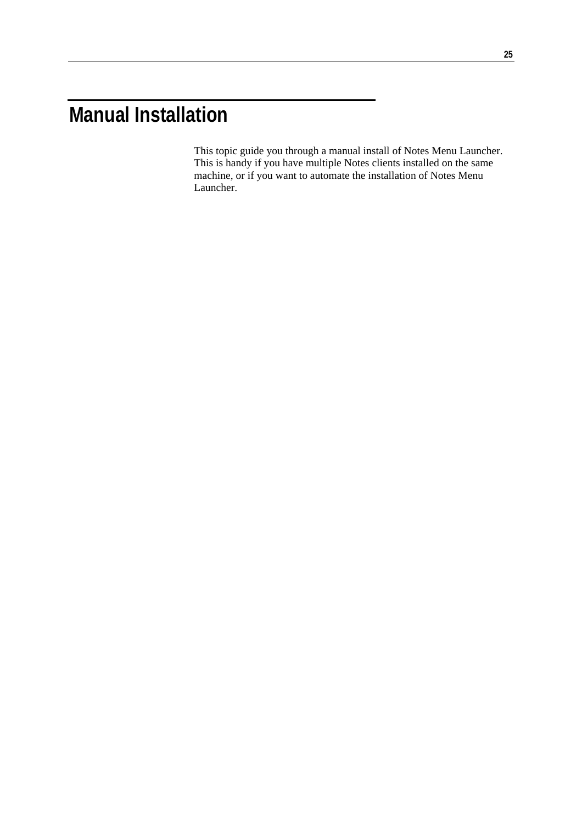# **Manual Installation**

This topic guide you through a manual install of Notes Menu Launcher. This is handy if you have multiple Notes clients installed on the same machine, or if you want to automate the installation of Notes Menu Launcher.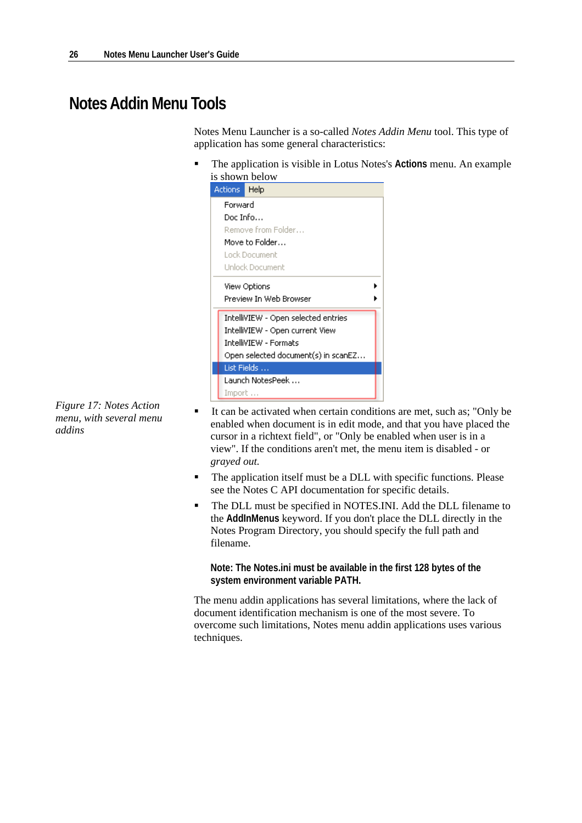# **Notes Addin Menu Tools**

Notes Menu Launcher is a so-called *Notes Addin Menu* tool. This type of application has some general characteristics:

 The application is visible in Lotus Notes's **Actions** menu. An example is shown below

| Actions:              | Help                                |
|-----------------------|-------------------------------------|
| Forward               |                                     |
| Doc Info              |                                     |
|                       | Remove from Folder                  |
|                       | Move to Folder                      |
|                       | Lock Document                       |
|                       | Unlock Document                     |
|                       | View Options                        |
|                       | Preview In Web Browser              |
|                       | IntelliVIEW - Open selected entries |
|                       | IntelliVIEW - Open current View     |
| IntelliVIEW - Formats |                                     |
|                       | Open selected document(s) in scanEZ |
|                       | List Fields                         |
|                       | Launch NotesPeek                    |
| Import                |                                     |

*Figure 17: Notes Action menu, with several menu addins* 

- It can be activated when certain conditions are met, such as; "Only be enabled when document is in edit mode, and that you have placed the cursor in a richtext field", or "Only be enabled when user is in a view". If the conditions aren't met, the menu item is disabled - or *grayed out.*
- The application itself must be a DLL with specific functions. Please see the Notes C API documentation for specific details.
- The DLL must be specified in NOTES.INI. Add the DLL filename to the **AddInMenus** keyword. If you don't place the DLL directly in the Notes Program Directory, you should specify the full path and filename.

**Note: The Notes.ini must be available in the first 128 bytes of the system environment variable PATH.**

The menu addin applications has several limitations, where the lack of document identification mechanism is one of the most severe. To overcome such limitations, Notes menu addin applications uses various techniques.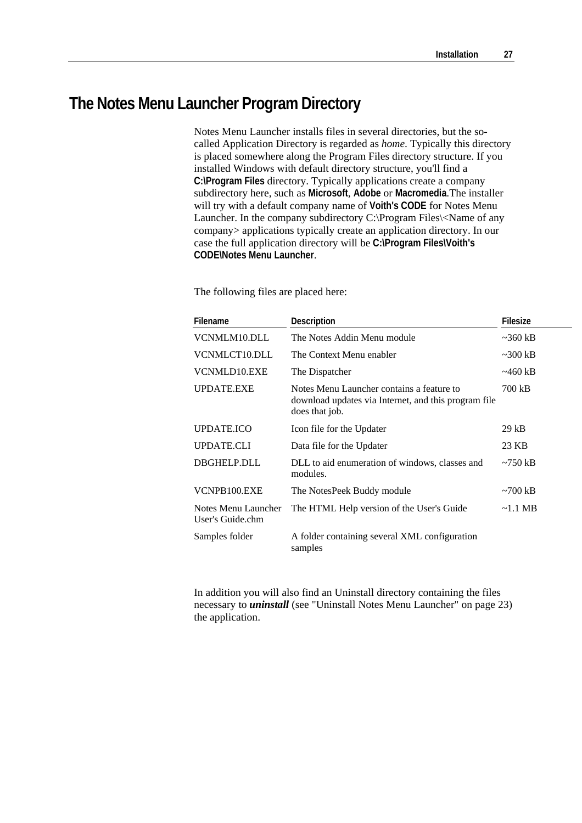# **The Notes Menu Launcher Program Directory**

Notes Menu Launcher installs files in several directories, but the socalled Application Directory is regarded as *home*. Typically this directory is placed somewhere along the Program Files directory structure. If you installed Windows with default directory structure, you'll find a **C:\Program Files** directory. Typically applications create a company subdirectory here, such as **Microsoft**, **Adobe** or **Macromedia**.The installer will try with a default company name of **Voith's CODE** for Notes Menu Launcher. In the company subdirectory C:\Program Files\<Name of any company> applications typically create an application directory. In our case the full application directory will be **C:\Program Files\Voith's CODE\Notes Menu Launcher**.

The following files are placed here:

| <b>Filename</b>                         | <b>Description</b>                                                                                                  | <b>Filesize</b> |
|-----------------------------------------|---------------------------------------------------------------------------------------------------------------------|-----------------|
| VCNMLM10.DLL                            | The Notes Addin Menu module                                                                                         | $\sim$ 360 kB   |
| VCNMLCT10.DLL                           | The Context Menu enabler                                                                                            | $\sim$ 300 kB   |
| VCNMLD10.EXE                            | The Dispatcher                                                                                                      | $\sim$ 460 kB   |
| <b>UPDATE.EXE</b>                       | Notes Menu Launcher contains a feature to<br>download updates via Internet, and this program file<br>does that job. | 700 kB          |
| <b>UPDATE.ICO</b>                       | Icon file for the Updater                                                                                           | 29 kB           |
| <b>UPDATE.CLI</b>                       | Data file for the Updater                                                                                           | 23 KB           |
| DBGHELP.DLL                             | DLL to aid enumeration of windows, classes and<br>modules.                                                          | $\sim$ 750 kB   |
| VCNPB100.EXE                            | The NotesPeek Buddy module                                                                                          | $\sim$ 700 kB   |
| Notes Menu Launcher<br>User's Guide.chm | The HTML Help version of the User's Guide                                                                           | $\sim$ 1.1 MB   |
| Samples folder                          | A folder containing several XML configuration<br>samples                                                            |                 |

In addition you will also find an Uninstall directory containing the files necessary to *uninstall* (see "Uninstall Notes Menu Launcher" on page 23) the application.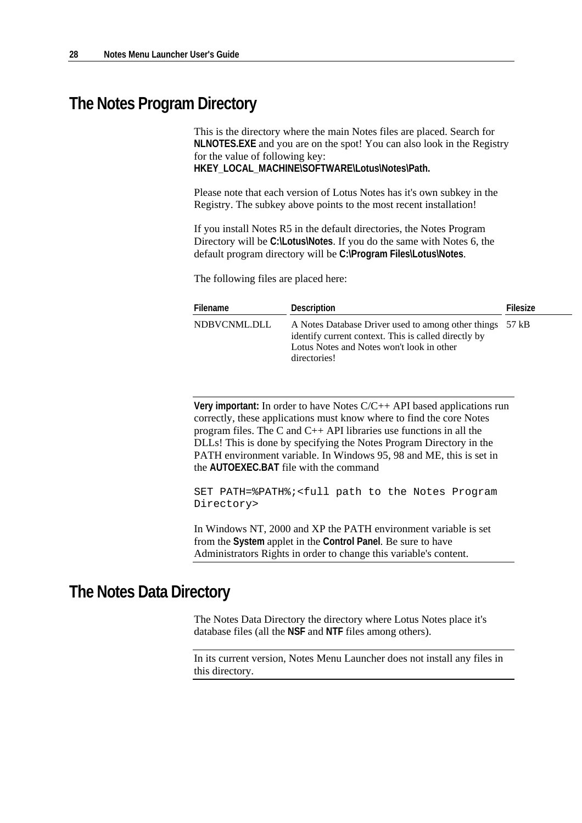### **The Notes Program Directory**

This is the directory where the main Notes files are placed. Search for **NLNOTES.EXE** and you are on the spot! You can also look in the Registry for the value of following key: **HKEY\_LOCAL\_MACHINE\SOFTWARE\Lotus\Notes\Path.** 

Please note that each version of Lotus Notes has it's own subkey in the Registry. The subkey above points to the most recent installation!

If you install Notes R5 in the default directories, the Notes Program Directory will be **C:\Lotus\Notes**. If you do the same with Notes 6, the default program directory will be **C:\Program Files\Lotus\Notes**.

The following files are placed here:

| Filename     | Description                                                                                                                                                                   | Filesize |
|--------------|-------------------------------------------------------------------------------------------------------------------------------------------------------------------------------|----------|
| NDBVCNML.DLL | A Notes Database Driver used to among other things 57 kB<br>identify current context. This is called directly by<br>Lotus Notes and Notes won't look in other<br>directories! |          |

**Very important:** In order to have Notes C/C++ API based applications run correctly, these applications must know where to find the core Notes program files. The C and C++ API libraries use functions in all the DLLs! This is done by specifying the Notes Program Directory in the PATH environment variable. In Windows 95, 98 and ME, this is set in the **AUTOEXEC.BAT** file with the command

SET PATH=%PATH%;<full path to the Notes Program Directory>

In Windows NT, 2000 and XP the PATH environment variable is set from the **System** applet in the **Control Panel**. Be sure to have Administrators Rights in order to change this variable's content.

### **The Notes Data Directory**

The Notes Data Directory the directory where Lotus Notes place it's database files (all the **NSF** and **NTF** files among others).

In its current version, Notes Menu Launcher does not install any files in this directory.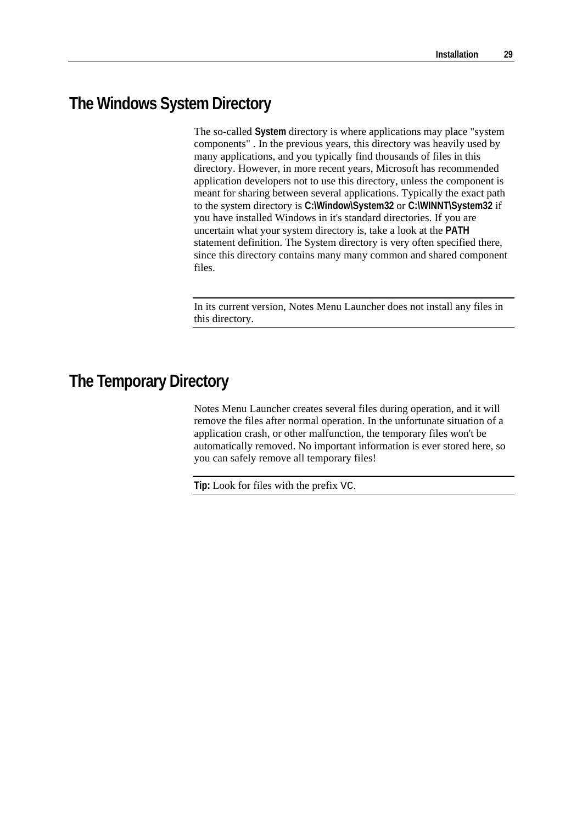# **The Windows System Directory**

The so-called **System** directory is where applications may place "system components" . In the previous years, this directory was heavily used by many applications, and you typically find thousands of files in this directory. However, in more recent years, Microsoft has recommended application developers not to use this directory, unless the component is meant for sharing between several applications. Typically the exact path to the system directory is **C:\Window\System32** or **C:\WINNT\System32** if you have installed Windows in it's standard directories. If you are uncertain what your system directory is, take a look at the **PATH** statement definition. The System directory is very often specified there, since this directory contains many many common and shared component files.

In its current version, Notes Menu Launcher does not install any files in this directory.

# **The Temporary Directory**

Notes Menu Launcher creates several files during operation, and it will remove the files after normal operation. In the unfortunate situation of a application crash, or other malfunction, the temporary files won't be automatically removed. No important information is ever stored here, so you can safely remove all temporary files!

**Tip:** Look for files with the prefix VC.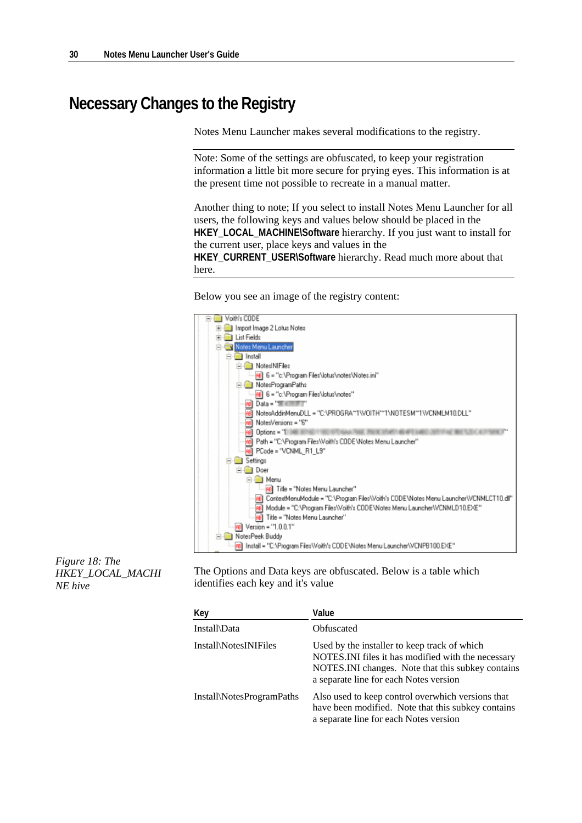# **Necessary Changes to the Registry**

Notes Menu Launcher makes several modifications to the registry.

Note: Some of the settings are obfuscated, to keep your registration information a little bit more secure for prying eyes. This information is at the present time not possible to recreate in a manual matter.

Another thing to note; If you select to install Notes Menu Launcher for all users, the following keys and values below should be placed in the **HKEY\_LOCAL\_MACHINE\Software** hierarchy. If you just want to install for the current user, place keys and values in the **HKEY\_CURRENT\_USER\Software** hierarchy. Read much more about that here.

Below you see an image of the registry content:



*Figure 18: The HKEY\_LOCAL\_MACHI NE hive* 

The Options and Data keys are obfuscated. Below is a table which identifies each key and it's value

| Key                       | Value                                                                                                                                                                                               |
|---------------------------|-----------------------------------------------------------------------------------------------------------------------------------------------------------------------------------------------------|
| Install\Data              | Obfuscated                                                                                                                                                                                          |
| Install\NotesINIFiles     | Used by the installer to keep track of which<br>NOTES. INI files it has modified with the necessary<br>NOTES. INI changes. Note that this subkey contains<br>a separate line for each Notes version |
| Install\NotesProgramPaths | Also used to keep control overwhich versions that<br>have been modified. Note that this subkey contains<br>a separate line for each Notes version                                                   |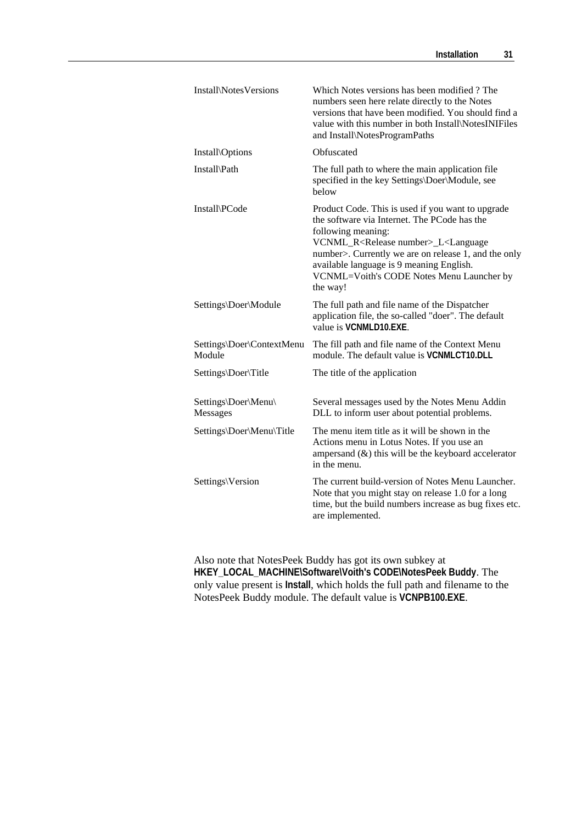| Install\NotesVersions               | Which Notes versions has been modified? The<br>numbers seen here relate directly to the Notes<br>versions that have been modified. You should find a<br>value with this number in both Install\NotesINIFiles<br>and Install\NotesProgramPaths                                                                                                                |
|-------------------------------------|--------------------------------------------------------------------------------------------------------------------------------------------------------------------------------------------------------------------------------------------------------------------------------------------------------------------------------------------------------------|
| <b>Install</b> \Options             | Obfuscated                                                                                                                                                                                                                                                                                                                                                   |
| Install\Path                        | The full path to where the main application file<br>specified in the key Settings\Doer\Module, see<br>below                                                                                                                                                                                                                                                  |
| Install\PCode                       | Product Code. This is used if you want to upgrade<br>the software via Internet. The PCode has the<br>following meaning:<br>VCNML_R <release number="">_L<language<br>number&gt;. Currently we are on release 1, and the only<br/>available language is 9 meaning English.<br/>VCNML=Voith's CODE Notes Menu Launcher by<br/>the way!</language<br></release> |
| Settings\Doer\Module                | The full path and file name of the Dispatcher<br>application file, the so-called "doer". The default<br>value is VCNMLD10.EXE.                                                                                                                                                                                                                               |
| Settings\Doer\ContextMenu<br>Module | The fill path and file name of the Context Menu<br>module. The default value is <b>VCNMLCT10.DLL</b>                                                                                                                                                                                                                                                         |
| Settings\Doer\Title                 | The title of the application                                                                                                                                                                                                                                                                                                                                 |
| Settings\Doer\Menu\<br>Messages     | Several messages used by the Notes Menu Addin<br>DLL to inform user about potential problems.                                                                                                                                                                                                                                                                |
| Settings\Doer\Menu\Title            | The menu item title as it will be shown in the<br>Actions menu in Lotus Notes. If you use an<br>ampersand $(\&)$ this will be the keyboard accelerator<br>in the menu.                                                                                                                                                                                       |
| Settings\Version                    | The current build-version of Notes Menu Launcher.<br>Note that you might stay on release 1.0 for a long<br>time, but the build numbers increase as bug fixes etc.<br>are implemented.                                                                                                                                                                        |

Also note that NotesPeek Buddy has got its own subkey at **HKEY\_LOCAL\_MACHINE\Software\Voith's CODE\NotesPeek Buddy**. The only value present is **Install**, which holds the full path and filename to the NotesPeek Buddy module. The default value is **VCNPB100.EXE**.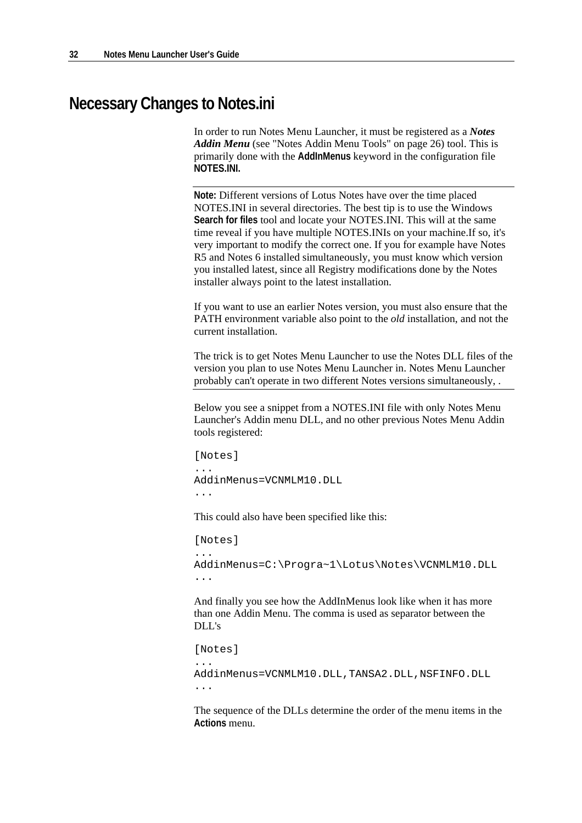### **Necessary Changes to Notes.ini**

In order to run Notes Menu Launcher, it must be registered as a *Notes Addin Menu* (see "Notes Addin Menu Tools" on page 26) tool. This is primarily done with the **AddInMenus** keyword in the configuration file **NOTES.INI.** 

**Note:** Different versions of Lotus Notes have over the time placed NOTES.INI in several directories. The best tip is to use the Windows **Search for files** tool and locate your NOTES.INI. This will at the same time reveal if you have multiple NOTES.INIs on your machine.If so, it's very important to modify the correct one. If you for example have Notes R5 and Notes 6 installed simultaneously, you must know which version you installed latest, since all Registry modifications done by the Notes installer always point to the latest installation.

If you want to use an earlier Notes version, you must also ensure that the PATH environment variable also point to the *old* installation, and not the current installation.

The trick is to get Notes Menu Launcher to use the Notes DLL files of the version you plan to use Notes Menu Launcher in. Notes Menu Launcher probably can't operate in two different Notes versions simultaneously, .

Below you see a snippet from a NOTES.INI file with only Notes Menu Launcher's Addin menu DLL, and no other previous Notes Menu Addin tools registered:

[Notes] ... AddinMenus=VCNMLM10.DLL ...

This could also have been specified like this:

[Notes] ... AddinMenus=C:\Progra~1\Lotus\Notes\VCNMLM10.DLL ...

And finally you see how the AddInMenus look like when it has more than one Addin Menu. The comma is used as separator between the DLL's

[Notes] ... AddinMenus=VCNMLM10.DLL,TANSA2.DLL,NSFINFO.DLL ...

The sequence of the DLLs determine the order of the menu items in the **Actions** menu.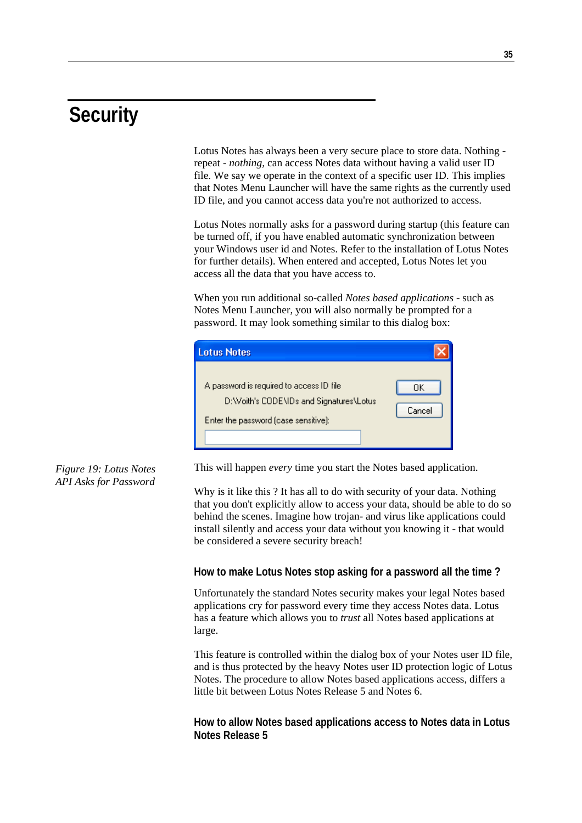# **Security**

Lotus Notes has always been a very secure place to store data. Nothing repeat - *nothing,* can access Notes data without having a valid user ID file. We say we operate in the context of a specific user ID. This implies that Notes Menu Launcher will have the same rights as the currently used ID file, and you cannot access data you're not authorized to access.

Lotus Notes normally asks for a password during startup (this feature can be turned off, if you have enabled automatic synchronization between your Windows user id and Notes. Refer to the installation of Lotus Notes for further details). When entered and accepted, Lotus Notes let you access all the data that you have access to.

When you run additional so-called *Notes based applications* - such as Notes Menu Launcher, you will also normally be prompted for a password. It may look something similar to this dialog box:

| <b>Lotus Notes</b>                                                                                                            |              |
|-------------------------------------------------------------------------------------------------------------------------------|--------------|
| A password is required to access ID file<br>D:\\/oith's CODE\IDs and Signatures\Lotus<br>Enter the password (case sensitive): | OΚ<br>Cancel |

#### *Figure 19: Lotus Notes API Asks for Password*

This will happen *every* time you start the Notes based application.

Why is it like this ? It has all to do with security of your data. Nothing that you don't explicitly allow to access your data, should be able to do so behind the scenes. Imagine how trojan- and virus like applications could install silently and access your data without you knowing it - that would be considered a severe security breach!

#### **How to make Lotus Notes stop asking for a password all the time ?**

Unfortunately the standard Notes security makes your legal Notes based applications cry for password every time they access Notes data. Lotus has a feature which allows you to *trust* all Notes based applications at large.

This feature is controlled within the dialog box of your Notes user ID file, and is thus protected by the heavy Notes user ID protection logic of Lotus Notes. The procedure to allow Notes based applications access, differs a little bit between Lotus Notes Release 5 and Notes 6.

**How to allow Notes based applications access to Notes data in Lotus Notes Release 5**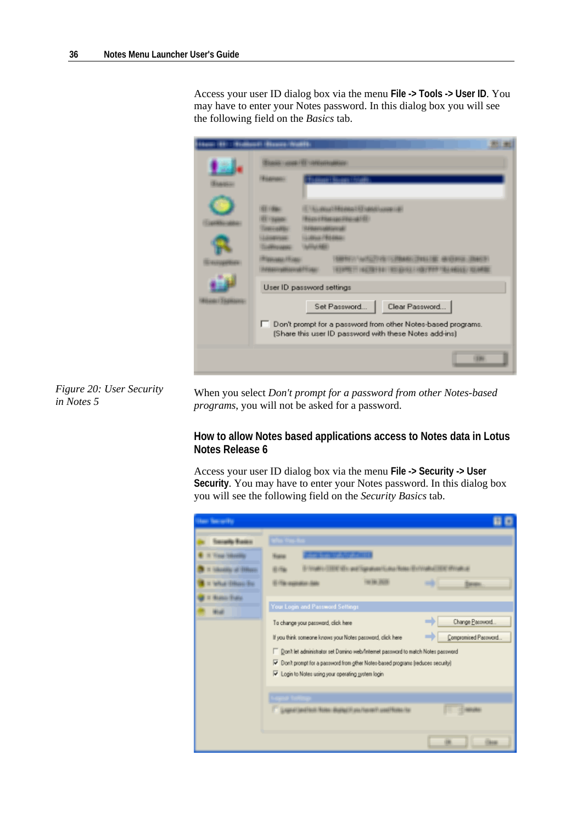Access your user ID dialog box via the menu **File -> Tools -> User ID**. You may have to enter your Notes password. In this dialog box you will see the following field on the *Basics* tab.

| <b>CARDED FOR CONSIDERINGS.</b>                                                                                                                               |
|---------------------------------------------------------------------------------------------------------------------------------------------------------------|
| a 1-84 is away 1-9.2 market woman call<br>an ethanian musiciti.<br><b>March 6400 Services</b><br><b>COMMERCIAL</b><br><b>ANTIBALISTICS</b>                    |
| User ID password settings                                                                                                                                     |
| Clear Password<br>Set Password<br>□<br>Don't prompt for a password from other Notes-based programs.<br>(Share this user ID password with these Notes add-ins) |

*Figure 20: User Security in Notes 5* 

When you select *Don't prompt for a password from other Notes-based programs*, you will not be asked for a password.

#### **How to allow Notes based applications access to Notes data in Lotus Notes Release 6**

Access your user ID dialog box via the menu **File -> Security -> User Security**. You may have to enter your Notes password. In this dialog box you will see the following field on the *Security Basics* tab.

| <b>Harry Team and Part</b>     |                                                                                                                                                                                                                                                                                        |                              |
|--------------------------------|----------------------------------------------------------------------------------------------------------------------------------------------------------------------------------------------------------------------------------------------------------------------------------------|------------------------------|
| ada Rosso<br><b>BOL TENNIS</b> | <b><i>RAWLINGTON - ENER</i></b><br>Your Login and Password Settings<br>To change your password, click here                                                                                                                                                                             | Travello.<br>Change Password |
|                                | If you think someone knows your Notes password, click here<br>Don't let administrator set Domino web/Internet password to match Notes password<br>Oon't prompt for a password from other Notes-based programs (reduces security)<br>U Login to Notes using your operating system login | Compromised Password         |
|                                | gavirisation Hotel Busini II on Neveri confidencial                                                                                                                                                                                                                                    |                              |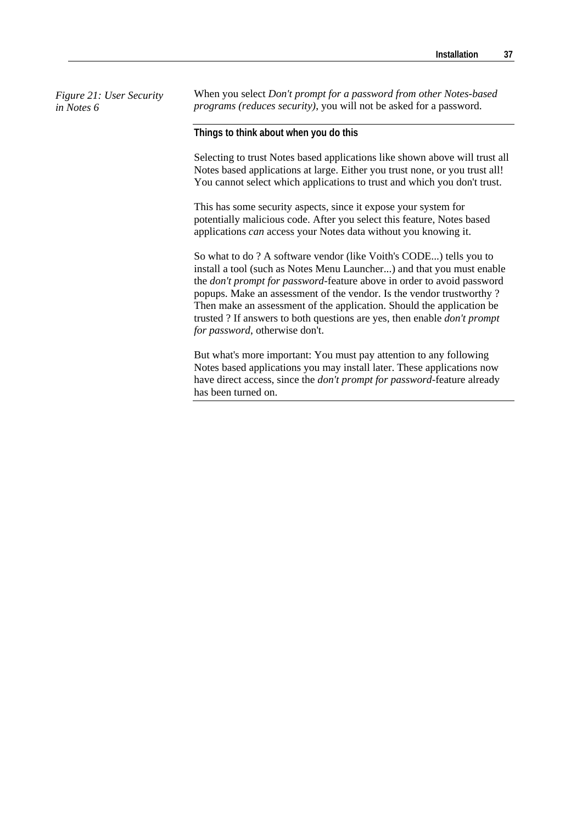*Figure 21: User Security in Notes 6* 

When you select *Don't prompt for a password from other Notes-based programs (reduces security)*, you will not be asked for a password.

**Things to think about when you do this** 

Selecting to trust Notes based applications like shown above will trust all Notes based applications at large. Either you trust none, or you trust all! You cannot select which applications to trust and which you don't trust.

This has some security aspects, since it expose your system for potentially malicious code. After you select this feature, Notes based applications *can* access your Notes data without you knowing it.

So what to do ? A software vendor (like Voith's CODE...) tells you to install a tool (such as Notes Menu Launcher...) and that you must enable the *don't prompt for password*-feature above in order to avoid password popups. Make an assessment of the vendor. Is the vendor trustworthy ? Then make an assessment of the application. Should the application be trusted ? If answers to both questions are yes, then enable *don't prompt for password*, otherwise don't.

But what's more important: You must pay attention to any following Notes based applications you may install later. These applications now have direct access, since the *don't prompt for password*-feature already has been turned on.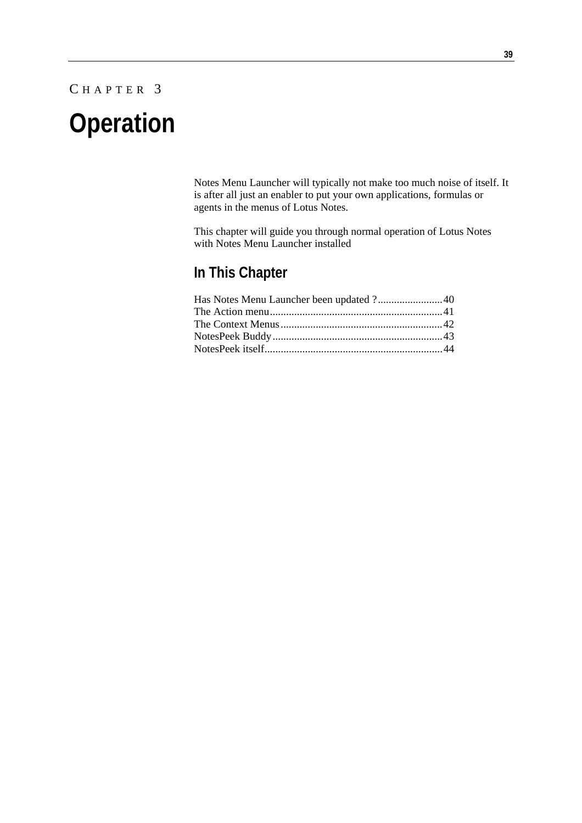### C HAPTER 3

# **Operation**

Notes Menu Launcher will typically not make too much noise of itself. It is after all just an enabler to put your own applications, formulas or agents in the menus of Lotus Notes.

This chapter will guide you through normal operation of Lotus Notes with Notes Menu Launcher installed

### **In This Chapter**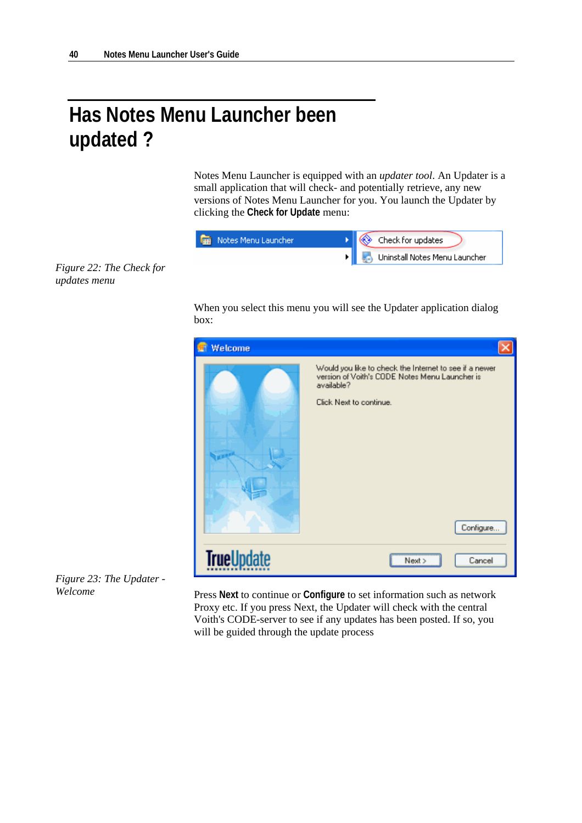# **Has Notes Menu Launcher been updated ?**

Notes Menu Launcher is equipped with an *updater tool*. An Updater is a small application that will check- and potentially retrieve, any new versions of Notes Menu Launcher for you. You launch the Updater by clicking the **Check for Update** menu:

| <b>Read Notes Menu Launcher</b> | <b>A</b> Check for updates                |
|---------------------------------|-------------------------------------------|
|                                 | <b>E.</b> , Uninstall Notes Menu Launcher |

*Figure 22: The Check for updates menu* 

> When you select this menu you will see the Updater application dialog box:



*Figure 23: The Updater - Welcome* 

Press **Next** to continue or **Configure** to set information such as network Proxy etc. If you press Next, the Updater will check with the central Voith's CODE-server to see if any updates has been posted. If so, you will be guided through the update process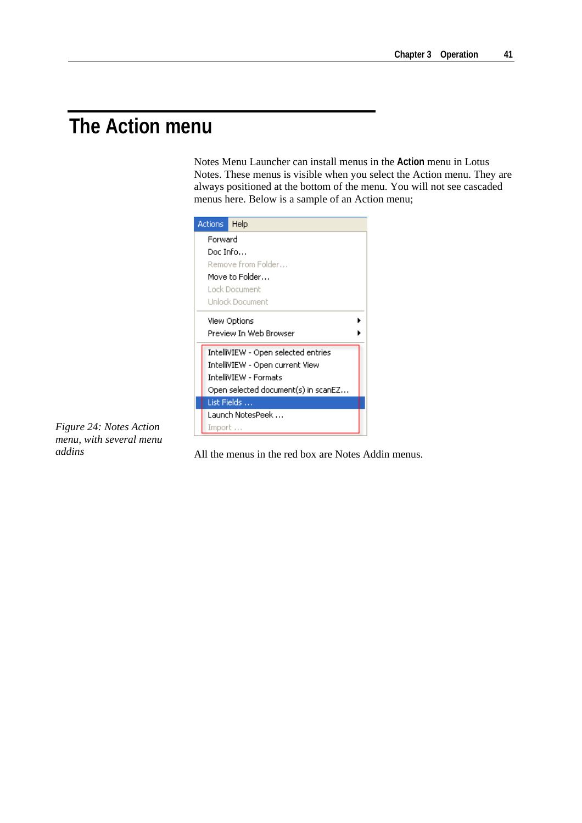# **The Action menu**

Notes Menu Launcher can install menus in the **Action** menu in Lotus Notes. These menus is visible when you select the Action menu. They are always positioned at the bottom of the menu. You will not see cascaded menus here. Below is a sample of an Action menu;



*Figure 24: Notes Action menu, with several menu addins* 

All the menus in the red box are Notes Addin menus.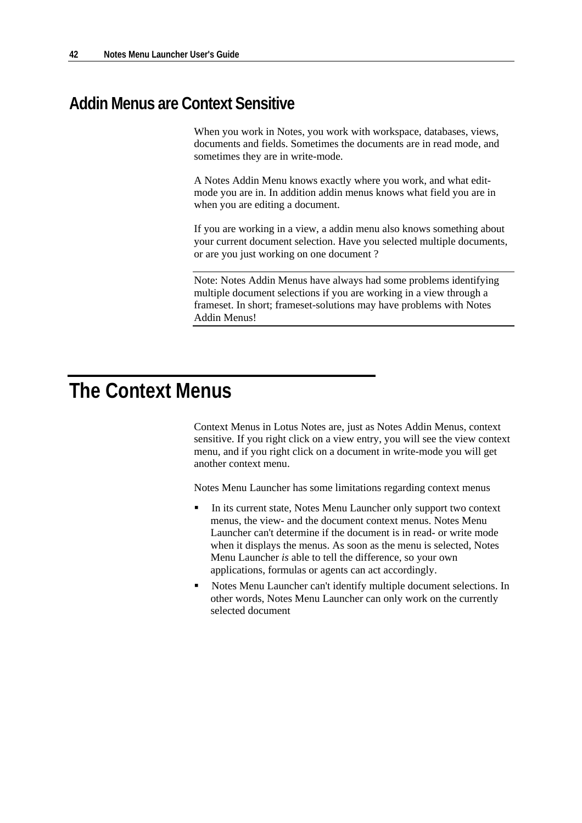### **Addin Menus are Context Sensitive**

When you work in Notes, you work with workspace, databases, views, documents and fields. Sometimes the documents are in read mode, and sometimes they are in write-mode.

A Notes Addin Menu knows exactly where you work, and what editmode you are in. In addition addin menus knows what field you are in when you are editing a document.

If you are working in a view, a addin menu also knows something about your current document selection. Have you selected multiple documents, or are you just working on one document ?

Note: Notes Addin Menus have always had some problems identifying multiple document selections if you are working in a view through a frameset. In short; frameset-solutions may have problems with Notes Addin Menus!

# **The Context Menus**

Context Menus in Lotus Notes are, just as Notes Addin Menus, context sensitive. If you right click on a view entry, you will see the view context menu, and if you right click on a document in write-mode you will get another context menu.

Notes Menu Launcher has some limitations regarding context menus

- In its current state, Notes Menu Launcher only support two context menus, the view- and the document context menus. Notes Menu Launcher can't determine if the document is in read- or write mode when it displays the menus. As soon as the menu is selected, Notes Menu Launcher *is* able to tell the difference, so your own applications, formulas or agents can act accordingly.
- Notes Menu Launcher can't identify multiple document selections. In other words, Notes Menu Launcher can only work on the currently selected document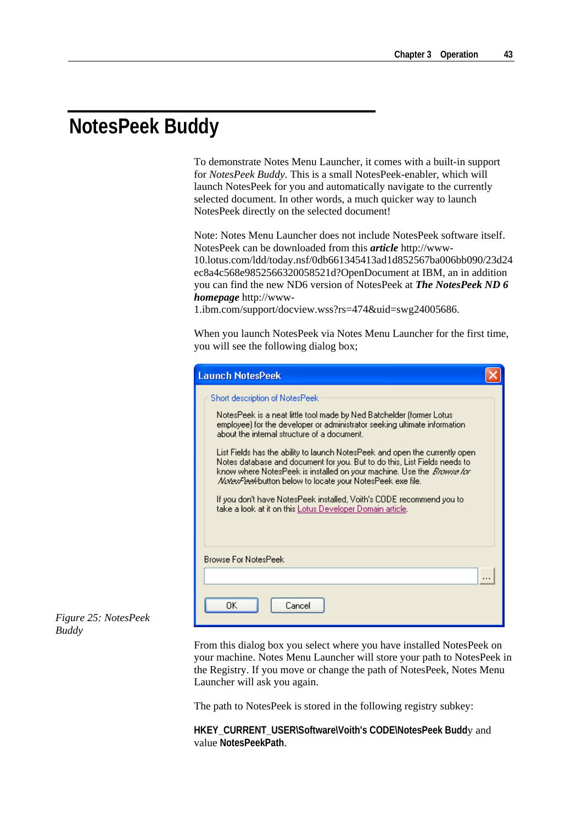# **NotesPeek Buddy**

To demonstrate Notes Menu Launcher, it comes with a built-in support for *NotesPeek Buddy*. This is a small NotesPeek-enabler, which will launch NotesPeek for you and automatically navigate to the currently selected document. In other words, a much quicker way to launch NotesPeek directly on the selected document!

Note: Notes Menu Launcher does not include NotesPeek software itself. NotesPeek can be downloaded from this *article* http://www-10.lotus.com/ldd/today.nsf/0db661345413ad1d852567ba006bb090/23d24 ec8a4c568e9852566320058521d?OpenDocument at IBM, an in addition you can find the new ND6 version of NotesPeek at *The NotesPeek ND 6 homepage* http://www-

1.ibm.com/support/docview.wss?rs=474&uid=swg24005686.

When you launch NotesPeek via Notes Menu Launcher for the first time, you will see the following dialog box;

| <b>Launch NotesPeek</b>                                                                                                                                                                                                                                                                               |          |
|-------------------------------------------------------------------------------------------------------------------------------------------------------------------------------------------------------------------------------------------------------------------------------------------------------|----------|
| Short description of NotesPeek                                                                                                                                                                                                                                                                        |          |
| NotesPeek is a neat little tool made by Ned Batchelder (former Lotus)<br>employee) for the developer or administrator seeking ultimate information<br>about the internal structure of a document.                                                                                                     |          |
| List Fields has the ability to launch NotesPeek and open the currently open<br>Notes database and document for you. But to do this, List Fields needs to<br>know where NotesPeek is installed on your machine. Use the <i>Browse for</i><br>Nates/Peekbutton below to locate your NotesPeek exe file. |          |
| If you don't have NotesPeek installed, Voith's CODE recommend you to<br>take a look at it on this Lotus Developer Domain article.                                                                                                                                                                     |          |
| <b>Browse For NotesPeek</b>                                                                                                                                                                                                                                                                           |          |
|                                                                                                                                                                                                                                                                                                       | $\cdots$ |
| OΚ<br>Cancel                                                                                                                                                                                                                                                                                          |          |

#### *Figure 25: NotesPeek Buddy*

From this dialog box you select where you have installed NotesPeek on your machine. Notes Menu Launcher will store your path to NotesPeek in the Registry. If you move or change the path of NotesPeek, Notes Menu Launcher will ask you again.

The path to NotesPeek is stored in the following registry subkey:

**HKEY\_CURRENT\_USER\Software\Voith's CODE\NotesPeek Budd**y and value **NotesPeekPath**.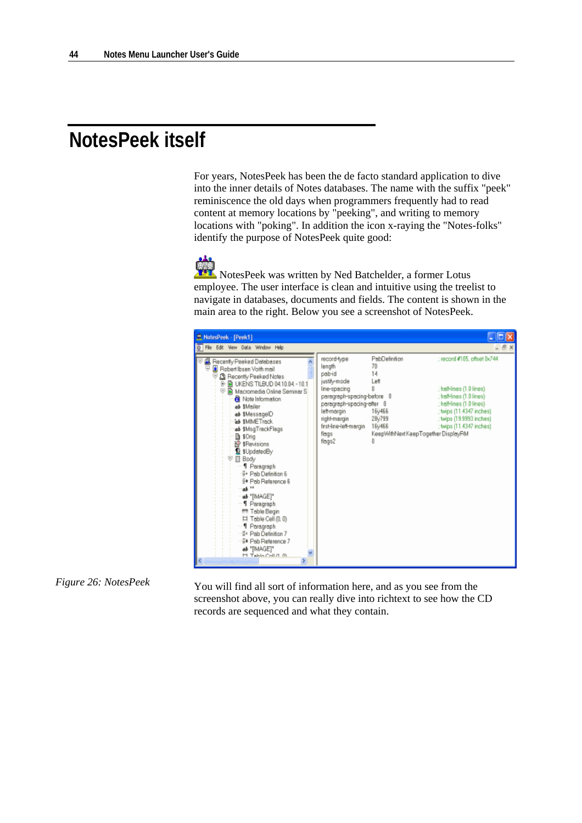# **NotesPeek itself**

For years, NotesPeek has been the de facto standard application to dive into the inner details of Notes databases. The name with the suffix "peek" reminiscence the old days when programmers frequently had to read content at memory locations by "peeking", and writing to memory locations with "poking". In addition the icon x-raying the "Notes-folks" identify the purpose of NotesPeek quite good:

 NotesPeek was written by Ned Batchelder, a former Lotus employee. The user interface is clean and intuitive using the treelist to navigate in databases, documents and fields. The content is shown in the main area to the right. Below you see a screenshot of NotesPeek.



#### *Figure 26: NotesPeek*

You will find all sort of information here, and as you see from the screenshot above, you can really dive into richtext to see how the CD records are sequenced and what they contain.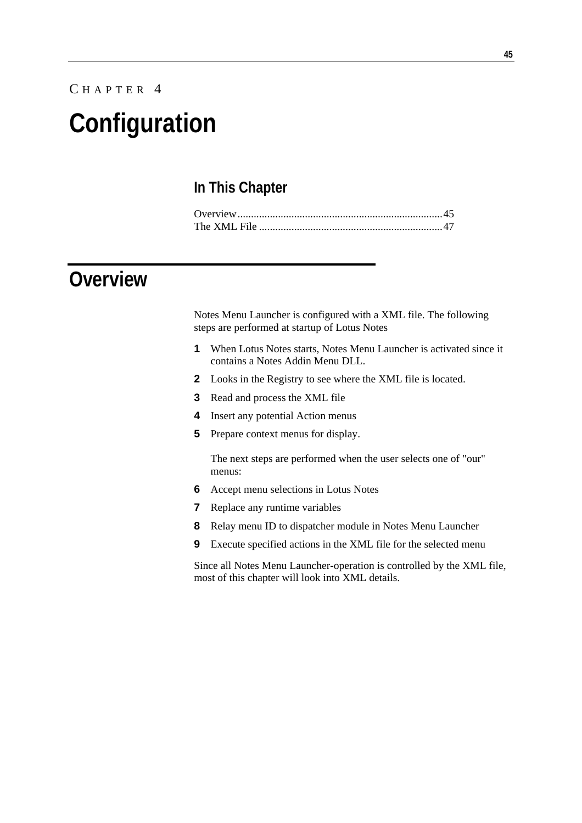# C HAPTER 4 **Configuration**

### **In This Chapter**

# **Overview**

Notes Menu Launcher is configured with a XML file. The following steps are performed at startup of Lotus Notes

- **1** When Lotus Notes starts, Notes Menu Launcher is activated since it contains a Notes Addin Menu DLL.
- **2** Looks in the Registry to see where the XML file is located.
- **3** Read and process the XML file
- **4** Insert any potential Action menus
- **5** Prepare context menus for display.

The next steps are performed when the user selects one of "our" menus:

- **6** Accept menu selections in Lotus Notes
- **7** Replace any runtime variables
- **8** Relay menu ID to dispatcher module in Notes Menu Launcher
- **9** Execute specified actions in the XML file for the selected menu

Since all Notes Menu Launcher-operation is controlled by the XML file, most of this chapter will look into XML details.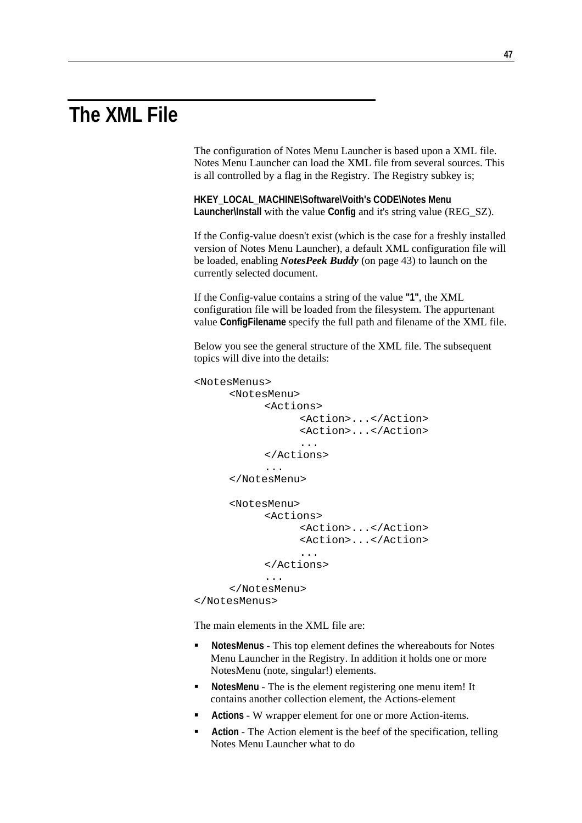# **The XML File**

The configuration of Notes Menu Launcher is based upon a XML file. Notes Menu Launcher can load the XML file from several sources. This is all controlled by a flag in the Registry. The Registry subkey is;

**HKEY\_LOCAL\_MACHINE\Software\Voith's CODE\Notes Menu Launcher\Install** with the value **Config** and it's string value (REG\_SZ).

If the Config-value doesn't exist (which is the case for a freshly installed version of Notes Menu Launcher), a default XML configuration file will be loaded, enabling *NotesPeek Buddy* (on page 43) to launch on the currently selected document.

If the Config-value contains a string of the value **"1"**, the XML configuration file will be loaded from the filesystem. The appurtenant value **ConfigFilename** specify the full path and filename of the XML file.

Below you see the general structure of the XML file. The subsequent topics will dive into the details:

```
<NotesMenus> 
      <NotesMenu> 
            <Actions> 
                  <Action>...</Action> 
                  <Action>...</Action> 
 ... 
            </Actions> 
            ... 
      </NotesMenu> 
      <NotesMenu> 
            <Actions> 
                  <Action>...</Action> 
                  <Action>...</Action> 
 ... 
            </Actions> 
            ... 
      </NotesMenu> 
</NotesMenus>
```
The main elements in the XML file are:

- **NotesMenus** This top element defines the whereabouts for Notes Menu Launcher in the Registry. In addition it holds one or more NotesMenu (note, singular!) elements.
- **NotesMenu** The is the element registering one menu item! It contains another collection element, the Actions-element
- **Actions**  W wrapper element for one or more Action-items.
- **Action**  The Action element is the beef of the specification, telling Notes Menu Launcher what to do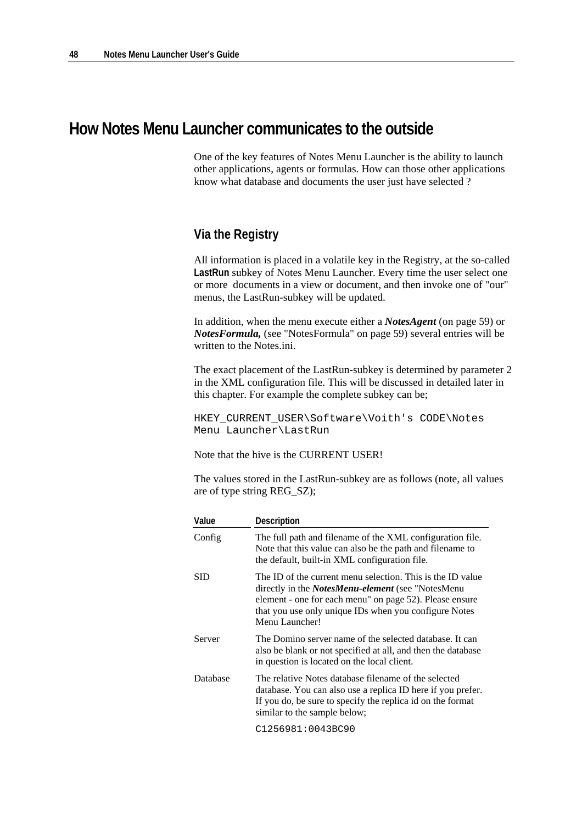### **How Notes Menu Launcher communicates to the outside**

One of the key features of Notes Menu Launcher is the ability to launch other applications, agents or formulas. How can those other applications know what database and documents the user just have selected ?

### **Via the Registry**

All information is placed in a volatile key in the Registry, at the so-called **LastRun** subkey of Notes Menu Launcher. Every time the user select one or more documents in a view or document, and then invoke one of "our" menus, the LastRun-subkey will be updated.

In addition, when the menu execute either a *NotesAgent* (on page 59) or *NotesFormula,* (see "NotesFormula" on page 59) several entries will be written to the Notes.ini.

The exact placement of the LastRun-subkey is determined by parameter 2 in the XML configuration file. This will be discussed in detailed later in this chapter. For example the complete subkey can be;

HKEY CURRENT USER\Software\Voith's CODE\Notes Menu Launcher\LastRun

Note that the hive is the CURRENT USER!

The values stored in the LastRun-subkey are as follows (note, all values are of type string REG\_SZ);

| Value    | Description                                                                                                                                                                                                                                                   |
|----------|---------------------------------------------------------------------------------------------------------------------------------------------------------------------------------------------------------------------------------------------------------------|
| Config   | The full path and filename of the XML configuration file.<br>Note that this value can also be the path and filename to<br>the default, built-in XML configuration file.                                                                                       |
| SID      | The ID of the current menu selection. This is the ID value<br>directly in the <i>NotesMenu-element</i> (see "NotesMenu"<br>element - one for each menu" on page 52). Please ensure<br>that you use only unique IDs when you configure Notes<br>Menu Launcher! |
| Server   | The Domino server name of the selected database. It can<br>also be blank or not specified at all, and then the database<br>in question is located on the local client.                                                                                        |
| Database | The relative Notes database filename of the selected<br>database. You can also use a replica ID here if you prefer.<br>If you do, be sure to specify the replica id on the format<br>similar to the sample below;                                             |
|          | C1256981:0043BC90                                                                                                                                                                                                                                             |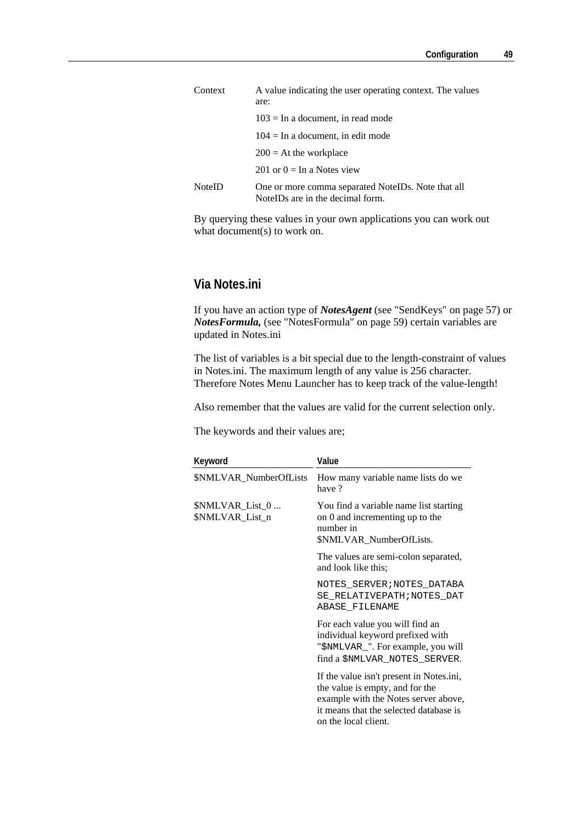| Context       | A value indicating the user operating context. The values<br>are:                        |
|---------------|------------------------------------------------------------------------------------------|
|               | $103 =$ In a document, in read mode                                                      |
|               | $104 =$ In a document, in edit mode                                                      |
|               | $200 = At$ the workplace                                                                 |
|               | 201 or $0 = \text{In a Notes view}$                                                      |
| <b>NoteID</b> | One or more comma separated Notel Ds. Note that all<br>Notel Ds are in the decimal form. |

By querying these values in your own applications you can work out what document(s) to work on.

#### **Via Notes.ini**

If you have an action type of *NotesAgent* (see "SendKeys" on page 57) or *NotesFormula,* (see "NotesFormula" on page 59) certain variables are updated in Notes.ini

The list of variables is a bit special due to the length-constraint of values in Notes.ini. The maximum length of any value is 256 character. Therefore Notes Menu Launcher has to keep track of the value-length!

Also remember that the values are valid for the current selection only.

The keywords and their values are;

| Keyword                            | Value                                                                                                                                                                                 |
|------------------------------------|---------------------------------------------------------------------------------------------------------------------------------------------------------------------------------------|
| \$NMLVAR_NumberOfLists             | How many variable name lists do we<br>have?                                                                                                                                           |
| \$NMLVAR_List_0<br>\$NMLVAR_List_n | You find a variable name list starting<br>on 0 and incrementing up to the<br>number in<br>\$NMLVAR_NumberOfLists.                                                                     |
|                                    | The values are semi-colon separated,<br>and look like this;                                                                                                                           |
|                                    | NOTES SERVER; NOTES DATABA<br>SE RELATIVEPATH; NOTES DAT<br>ABASE FILENAME                                                                                                            |
|                                    | For each value you will find an<br>individual keyword prefixed with<br>"\$NMLVAR_". For example, you will<br>find a \$NMLVAR_NOTES_SERVER.                                            |
|                                    | If the value isn't present in Notes.ini,<br>the value is empty, and for the<br>example with the Notes server above,<br>it means that the selected database is<br>on the local client. |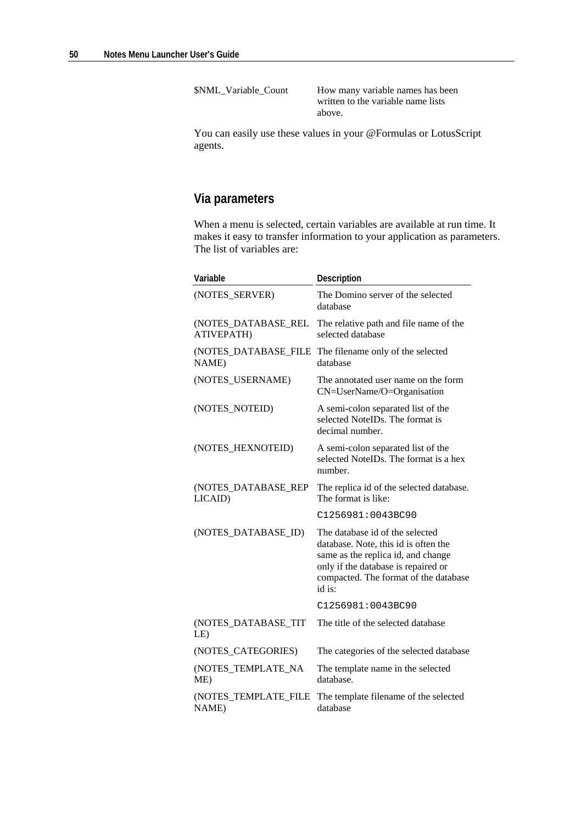\$NML\_Variable\_Count How many variable names has been written to the variable name lists above.

You can easily use these values in your @Formulas or LotusScript agents.

### **Via parameters**

When a menu is selected, certain variables are available at run time. It makes it easy to transfer information to your application as parameters. The list of variables are:

| Variable                          | Description                                                                                                                                                                                             |
|-----------------------------------|---------------------------------------------------------------------------------------------------------------------------------------------------------------------------------------------------------|
| (NOTES_SERVER)                    | The Domino server of the selected<br>database                                                                                                                                                           |
| (NOTES_DATABASE_REL<br>ATIVEPATH) | The relative path and file name of the<br>selected database                                                                                                                                             |
| (NOTES_DATABASE_FILE<br>NAME)     | The filename only of the selected<br>database                                                                                                                                                           |
| (NOTES_USERNAME)                  | The annotated user name on the form<br>CN=UserName/O=Organisation                                                                                                                                       |
| (NOTES_NOTEID)                    | A semi-colon separated list of the<br>selected NoteIDs. The format is<br>decimal number.                                                                                                                |
| (NOTES_HEXNOTEID)                 | A semi-colon separated list of the<br>selected NoteIDs. The format is a hex<br>number.                                                                                                                  |
| (NOTES_DATABASE_REP<br>LICAID)    | The replica id of the selected database.<br>The format is like:                                                                                                                                         |
|                                   | C1256981:0043BC90                                                                                                                                                                                       |
| (NOTES_DATABASE_ID)               | The database id of the selected<br>database. Note, this id is often the<br>same as the replica id, and change<br>only if the database is repaired or<br>compacted. The format of the database<br>id is: |
|                                   | C1256981:0043BC90                                                                                                                                                                                       |
| (NOTES_DATABASE_TIT<br>LE)        | The title of the selected database                                                                                                                                                                      |
| (NOTES_CATEGORIES)                | The categories of the selected database                                                                                                                                                                 |
| (NOTES_TEMPLATE_NA<br>ME)         | The template name in the selected<br>database.                                                                                                                                                          |
| (NOTES_TEMPLATE_FILE<br>NAME)     | The template filename of the selected<br>database                                                                                                                                                       |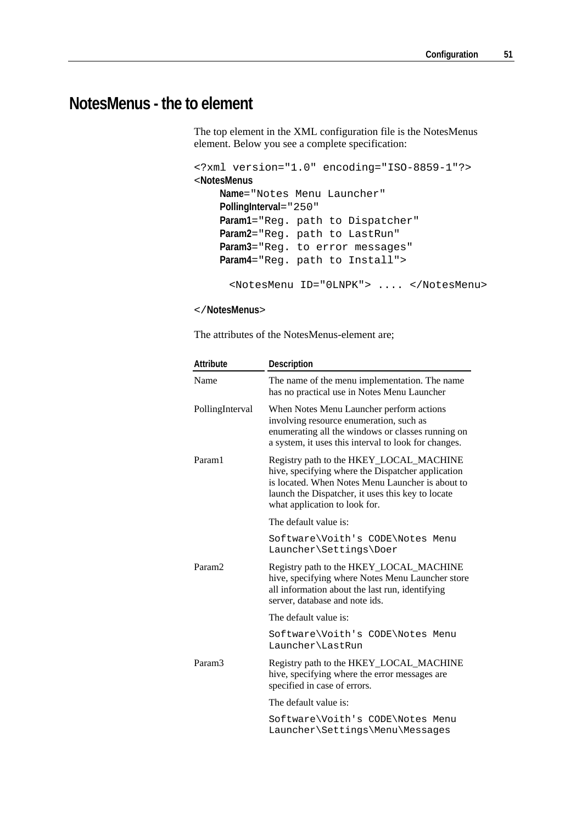# **NotesMenus - the to element**

The top element in the XML configuration file is the NotesMenus element. Below you see a complete specification:

```
<?xml version="1.0" encoding="ISO-8859-1"?> 
<NotesMenus
    Name="Notes Menu Launcher" 
    PollingInterval="250" 
    Param1="Reg. path to Dispatcher" 
    Param2="Reg. path to LastRun" 
    Param3="Reg. to error messages" 
    Param4="Reg. path to Install"> 
      <NotesMenu ID="0LNPK"> .... </NotesMenu>
```
</**NotesMenus**>

The attributes of the NotesMenus-element are;

| Attribute          | Description                                                                                                                                                                                                                            |
|--------------------|----------------------------------------------------------------------------------------------------------------------------------------------------------------------------------------------------------------------------------------|
| Name               | The name of the menu implementation. The name<br>has no practical use in Notes Menu Launcher                                                                                                                                           |
| PollingInterval    | When Notes Menu Launcher perform actions<br>involving resource enumeration, such as<br>enumerating all the windows or classes running on<br>a system, it uses this interval to look for changes.                                       |
| Param1             | Registry path to the HKEY_LOCAL_MACHINE<br>hive, specifying where the Dispatcher application<br>is located. When Notes Menu Launcher is about to<br>launch the Dispatcher, it uses this key to locate<br>what application to look for. |
|                    | The default value is:                                                                                                                                                                                                                  |
|                    | Software\Voith's CODE\Notes Menu<br>Launcher\Settings\Doer                                                                                                                                                                             |
| Param <sub>2</sub> | Registry path to the HKEY_LOCAL_MACHINE<br>hive, specifying where Notes Menu Launcher store<br>all information about the last run, identifying<br>server, database and note ids.                                                       |
|                    | The default value is:                                                                                                                                                                                                                  |
|                    | Software\Voith's CODE\Notes Menu<br>Launcher\LastRun                                                                                                                                                                                   |
| Param <sub>3</sub> | Registry path to the HKEY_LOCAL_MACHINE<br>hive, specifying where the error messages are<br>specified in case of errors.                                                                                                               |
|                    | The default value is:                                                                                                                                                                                                                  |
|                    | Software\Voith's CODE\Notes Menu<br>Launcher\Settings\Menu\Messages                                                                                                                                                                    |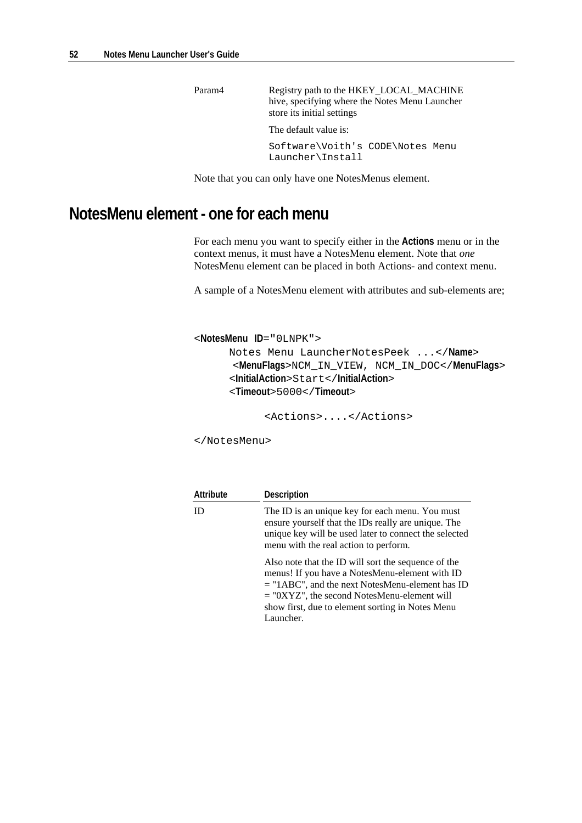Param4 Registry path to the HKEY\_LOCAL\_MACHINE hive, specifying where the Notes Menu Launcher store its initial settings

The default value is:

Software\Voith's CODE\Notes Menu Launcher\Install

Note that you can only have one NotesMenus element.

## **NotesMenu element - one for each menu**

For each menu you want to specify either in the **Actions** menu or in the context menus, it must have a NotesMenu element. Note that *one* NotesMenu element can be placed in both Actions- and context menu.

A sample of a NotesMenu element with attributes and sub-elements are;

```
<NotesMenu ID="0LNPK"> 
       Notes Menu LauncherNotesPeek ...</Name> 
        <MenuFlags>NCM_IN_VIEW, NCM_IN_DOC</MenuFlags> 
       <InitialAction>Start</InitialAction> 
       <Timeout>5000</Timeout>
```
<Actions>....</Actions>

</NotesMenu>

| Attribute | <b>Description</b>                                                                                                                                                                                                                                                           |
|-----------|------------------------------------------------------------------------------------------------------------------------------------------------------------------------------------------------------------------------------------------------------------------------------|
| ID        | The ID is an unique key for each menu. You must<br>ensure yourself that the IDs really are unique. The<br>unique key will be used later to connect the selected<br>menu with the real action to perform.                                                                     |
|           | Also note that the ID will sort the sequence of the<br>menus! If you have a NotesMenu-element with ID<br>$=$ "1ABC", and the next NotesMenu-element has ID<br>$=$ "0XYZ", the second NotesMenu-element will<br>show first, due to element sorting in Notes Menu<br>Launcher. |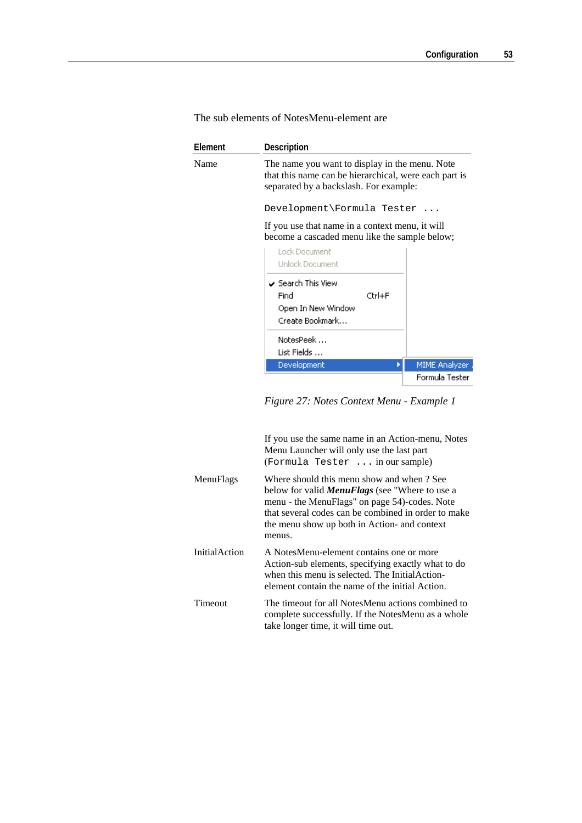| Element | Description                                                                                                                                                                     |  |  |
|---------|---------------------------------------------------------------------------------------------------------------------------------------------------------------------------------|--|--|
| Name    | The name you want to display in the menu. Note<br>that this name can be hierarchical, were each part is<br>separated by a backslash. For example:<br>Development\Formula Tester |  |  |
|         |                                                                                                                                                                                 |  |  |
|         | If you use that name in a context menu, it will<br>become a cascaded menu like the sample below;                                                                                |  |  |
|         | Lock Document<br><b>Unlock Document</b>                                                                                                                                         |  |  |
|         | $\overline{\smash[b]{\mathsf{S}}}$ Search This View<br>Find<br>$C$ trl $+E$<br>Open In New Window<br>Create Bookmark                                                            |  |  |
|         | NotesPeek<br>List Fields                                                                                                                                                        |  |  |
|         | Development<br>MIME Analyzer                                                                                                                                                    |  |  |
|         | Formula Tester                                                                                                                                                                  |  |  |

The sub elements of NotesMenu-element are

*Figure 27: Notes Context Menu - Example 1* 

|                      | If you use the same name in an Action-menu, Notes<br>Menu Launcher will only use the last part<br>(Formula Tester  in our sample)                                                                                                                                     |
|----------------------|-----------------------------------------------------------------------------------------------------------------------------------------------------------------------------------------------------------------------------------------------------------------------|
| MenuFlags            | Where should this menu show and when ? See<br>below for valid <b>MenuFlags</b> (see "Where to use a<br>menu - the MenuFlags" on page 54)-codes. Note<br>that several codes can be combined in order to make<br>the menu show up both in Action- and context<br>menus. |
| <b>InitialAction</b> | A NotesMenu-element contains one or more<br>Action-sub elements, specifying exactly what to do<br>when this menu is selected. The Initial Action-<br>element contain the name of the initial Action.                                                                  |
| Timeout              | The timeout for all NotesMenu actions combined to<br>complete successfully. If the NotesMenu as a whole<br>take longer time, it will time out.                                                                                                                        |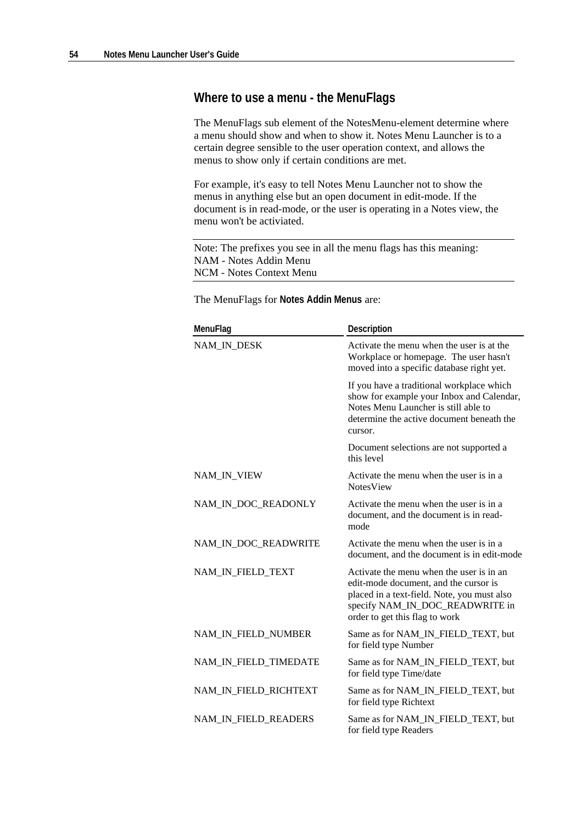#### **Where to use a menu - the MenuFlags**

The MenuFlags sub element of the NotesMenu-element determine where a menu should show and when to show it. Notes Menu Launcher is to a certain degree sensible to the user operation context, and allows the menus to show only if certain conditions are met.

For example, it's easy to tell Notes Menu Launcher not to show the menus in anything else but an open document in edit-mode. If the document is in read-mode, or the user is operating in a Notes view, the menu won't be activiated.

Note: The prefixes you see in all the menu flags has this meaning: NAM - Notes Addin Menu NCM - Notes Context Menu

The MenuFlags for **Notes Addin Menus** are:

| MenuFlag              | Description                                                                                                                                                                                           |
|-----------------------|-------------------------------------------------------------------------------------------------------------------------------------------------------------------------------------------------------|
| NAM_IN_DESK           | Activate the menu when the user is at the<br>Workplace or homepage. The user hasn't<br>moved into a specific database right yet.                                                                      |
|                       | If you have a traditional workplace which<br>show for example your Inbox and Calendar,<br>Notes Menu Launcher is still able to<br>determine the active document beneath the<br>cursor.                |
|                       | Document selections are not supported a<br>this level                                                                                                                                                 |
| NAM_IN_VIEW           | Activate the menu when the user is in a<br><b>NotesView</b>                                                                                                                                           |
| NAM_IN_DOC_READONLY   | Activate the menu when the user is in a<br>document, and the document is in read-<br>mode                                                                                                             |
| NAM_IN_DOC_READWRITE  | Activate the menu when the user is in a<br>document, and the document is in edit-mode                                                                                                                 |
| NAM_IN_FIELD_TEXT     | Activate the menu when the user is in an<br>edit-mode document, and the cursor is<br>placed in a text-field. Note, you must also<br>specify NAM_IN_DOC_READWRITE in<br>order to get this flag to work |
| NAM_IN_FIELD_NUMBER   | Same as for NAM_IN_FIELD_TEXT, but<br>for field type Number                                                                                                                                           |
| NAM_IN_FIELD_TIMEDATE | Same as for NAM_IN_FIELD_TEXT, but<br>for field type Time/date                                                                                                                                        |
| NAM_IN_FIELD_RICHTEXT | Same as for NAM_IN_FIELD_TEXT, but<br>for field type Richtext                                                                                                                                         |
| NAM_IN_FIELD_READERS  | Same as for NAM_IN_FIELD_TEXT, but<br>for field type Readers                                                                                                                                          |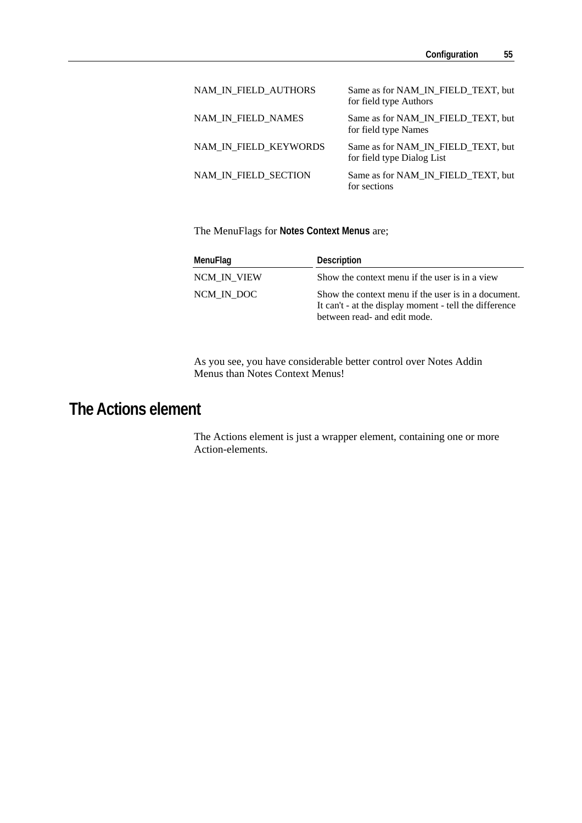| NAM_IN_FIELD_AUTHORS  | Same as for NAM_IN_FIELD_TEXT, but<br>for field type Authors     |
|-----------------------|------------------------------------------------------------------|
| NAM IN FIELD NAMES    | Same as for NAM_IN_FIELD_TEXT, but<br>for field type Names       |
| NAM IN FIELD KEYWORDS | Same as for NAM_IN_FIELD_TEXT, but<br>for field type Dialog List |
| NAM_IN_FIELD_SECTION  | Same as for NAM IN FIELD TEXT, but<br>for sections               |

The MenuFlags for **Notes Context Menus** are;

| MenuFlag    | Description                                                                                                                                   |
|-------------|-----------------------------------------------------------------------------------------------------------------------------------------------|
| NCM IN VIEW | Show the context menu if the user is in a view                                                                                                |
| NCM IN DOC  | Show the context menu if the user is in a document.<br>It can't - at the display moment - tell the difference<br>between read- and edit mode. |

As you see, you have considerable better control over Notes Addin Menus than Notes Context Menus!

# **The Actions element**

The Actions element is just a wrapper element, containing one or more Action-elements.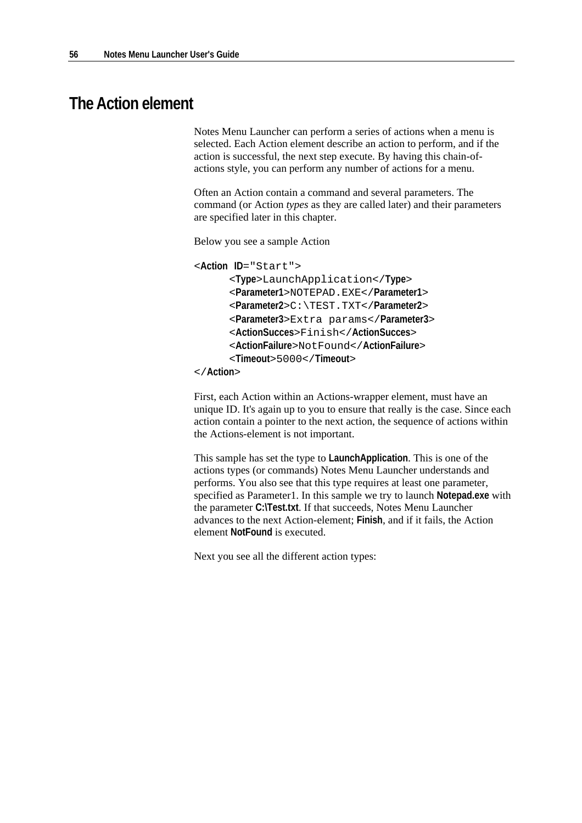### **The Action element**

Notes Menu Launcher can perform a series of actions when a menu is selected. Each Action element describe an action to perform, and if the action is successful, the next step execute. By having this chain-ofactions style, you can perform any number of actions for a menu.

Often an Action contain a command and several parameters. The command (or Action *types* as they are called later) and their parameters are specified later in this chapter.

Below you see a sample Action

```
<Action ID="Start">
```
<**Type**>LaunchApplication</**Type**>

<**Parameter1**>NOTEPAD.EXE</**Parameter1**>

<**Parameter2**>C:\TEST.TXT</**Parameter2**>

<**Parameter3**>Extra params</**Parameter3**>

- <**ActionSucces**>Finish</**ActionSucces**>
- <**ActionFailure**>NotFound</**ActionFailure**>
- <**Timeout**>5000</**Timeout**>

</**Action**>

First, each Action within an Actions-wrapper element, must have an unique ID. It's again up to you to ensure that really is the case. Since each action contain a pointer to the next action, the sequence of actions within the Actions-element is not important.

This sample has set the type to **LaunchApplication**. This is one of the actions types (or commands) Notes Menu Launcher understands and performs. You also see that this type requires at least one parameter, specified as Parameter1. In this sample we try to launch **Notepad.exe** with the parameter **C:\Test.txt**. If that succeeds, Notes Menu Launcher advances to the next Action-element; **Finish**, and if it fails, the Action element **NotFound** is executed.

Next you see all the different action types: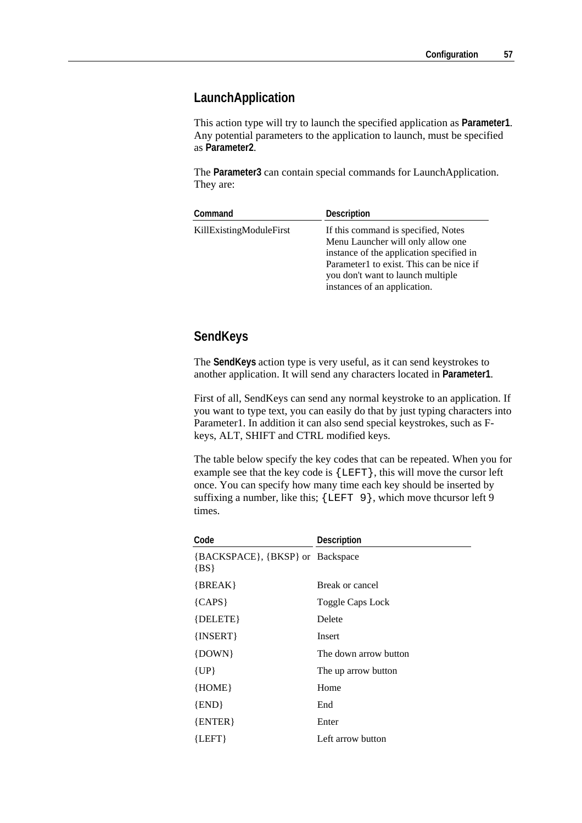#### **LaunchApplication**

This action type will try to launch the specified application as **Parameter1**. Any potential parameters to the application to launch, must be specified as **Parameter2**.

The **Parameter3** can contain special commands for LaunchApplication. They are:

| Command                 | <b>Description</b>                                                                                                                                                                                                                    |
|-------------------------|---------------------------------------------------------------------------------------------------------------------------------------------------------------------------------------------------------------------------------------|
| KillExistingModuleFirst | If this command is specified, Notes<br>Menu Launcher will only allow one<br>instance of the application specified in<br>Parameter1 to exist. This can be nice if<br>you don't want to launch multiple<br>instances of an application. |

### **SendKeys**

The **SendKeys** action type is very useful, as it can send keystrokes to another application. It will send any characters located in **Parameter1**.

First of all, SendKeys can send any normal keystroke to an application. If you want to type text, you can easily do that by just typing characters into Parameter1. In addition it can also send special keystrokes, such as Fkeys, ALT, SHIFT and CTRL modified keys.

The table below specify the key codes that can be repeated. When you for example see that the key code is {LEFT}, this will move the cursor left once. You can specify how many time each key should be inserted by suffixing a number, like this;  $\{LEFT \, 9\}$ , which move thcursor left 9 times.

| Code                                       | Description           |
|--------------------------------------------|-----------------------|
| {BACKSPACE}, {BKSP} or Backspace<br>${BS}$ |                       |
| $\{BREAK\}$                                | Break or cancel       |
| ${CAPS}$                                   | Toggle Caps Lock      |
| $\{DELETE\}$                               | Delete                |
| $\{INSERT\}$                               | Insert                |
| $\{DOWN\}$                                 | The down arrow button |
| $\{UP\}$                                   | The up arrow button   |
| ${HOME}$                                   | Home                  |
| $\{END\}$                                  | End                   |
| $\{ENTER\}$                                | Enter                 |
| ${LEFT}$                                   | Left arrow button     |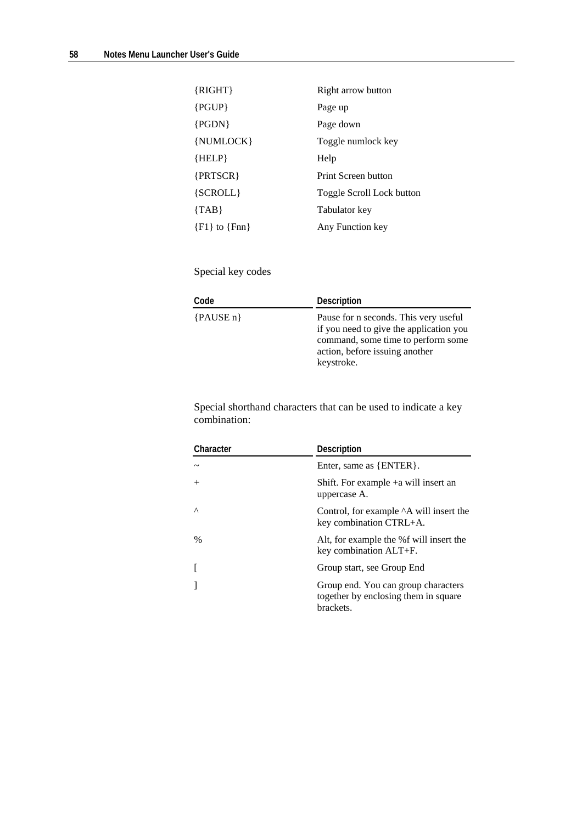| $\{RIGHT\}$           | Right arrow button        |
|-----------------------|---------------------------|
| $\{PGUP\}$            | Page up                   |
| ${PGDN}$              | Page down                 |
| {NUMLOCK}             | Toggle numlock key        |
| ${HELP}$              | Help                      |
| $\{PRTSCR\}$          | Print Screen button       |
| ${SCROLL}$            | Toggle Scroll Lock button |
| $\{TAB\}$             | Tabulator key             |
| $\{F1\}$ to $\{Fnn\}$ | Any Function key          |

Special key codes

| Code        | <b>Description</b>                                                                                                                                                     |
|-------------|------------------------------------------------------------------------------------------------------------------------------------------------------------------------|
| ${PAUSE n}$ | Pause for n seconds. This very useful<br>if you need to give the application you<br>command, some time to perform some<br>action, before issuing another<br>keystroke. |

Special shorthand characters that can be used to indicate a key combination:

| Character | Description                                                                              |
|-----------|------------------------------------------------------------------------------------------|
|           | Enter, same as {ENTER}.                                                                  |
| $^{+}$    | Shift. For example $+a$ will insert an<br>uppercase A.                                   |
| $\wedge$  | Control, for example <sup>^</sup> A will insert the<br>key combination CTRL+A.           |
| $\%$      | Alt, for example the %f will insert the<br>key combination ALT+F.                        |
|           | Group start, see Group End                                                               |
|           | Group end. You can group characters<br>together by enclosing them in square<br>brackets. |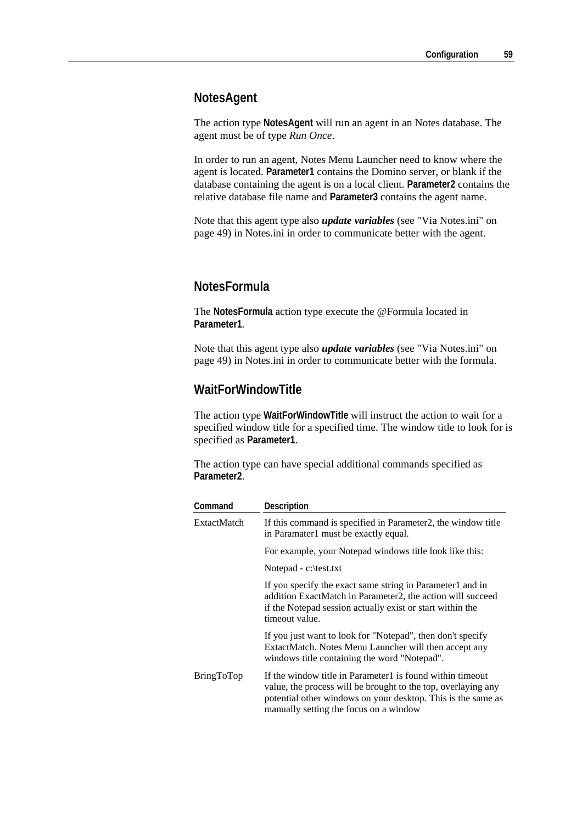#### **NotesAgent**

The action type **NotesAgent** will run an agent in an Notes database. The agent must be of type *Run Once*.

In order to run an agent, Notes Menu Launcher need to know where the agent is located. **Parameter1** contains the Domino server, or blank if the database containing the agent is on a local client. **Parameter2** contains the relative database file name and **Parameter3** contains the agent name.

Note that this agent type also *update variables* (see "Via Notes.ini" on page 49) in Notes.ini in order to communicate better with the agent.

#### **NotesFormula**

The **NotesFormula** action type execute the @Formula located in **Parameter1**.

Note that this agent type also *update variables* (see "Via Notes.ini" on page 49) in Notes.ini in order to communicate better with the formula.

#### **WaitForWindowTitle**

The action type **WaitForWindowTitle** will instruct the action to wait for a specified window title for a specified time. The window title to look for is specified as **Parameter1**.

The action type can have special additional commands specified as **Parameter2**.

| Command     | Description                                                                                                                                                                                                                          |
|-------------|--------------------------------------------------------------------------------------------------------------------------------------------------------------------------------------------------------------------------------------|
| ExtactMatch | If this command is specified in Parameter2, the window title<br>in Paramater1 must be exactly equal.                                                                                                                                 |
|             | For example, your Notepad windows title look like this:                                                                                                                                                                              |
|             | Notepad - $c$ : \test.txt                                                                                                                                                                                                            |
|             | If you specify the exact same string in Parameter1 and in<br>addition ExactMatch in Parameter2, the action will succeed<br>if the Notepad session actually exist or start within the<br>timeout value.                               |
|             | If you just want to look for "Notepad", then don't specify<br>ExtactMatch. Notes Menu Launcher will then accept any<br>windows title containing the word "Notepad".                                                                  |
| BringToTop  | If the window title in Parameter1 is found within timeout<br>value, the process will be brought to the top, overlaying any<br>potential other windows on your desktop. This is the same as<br>manually setting the focus on a window |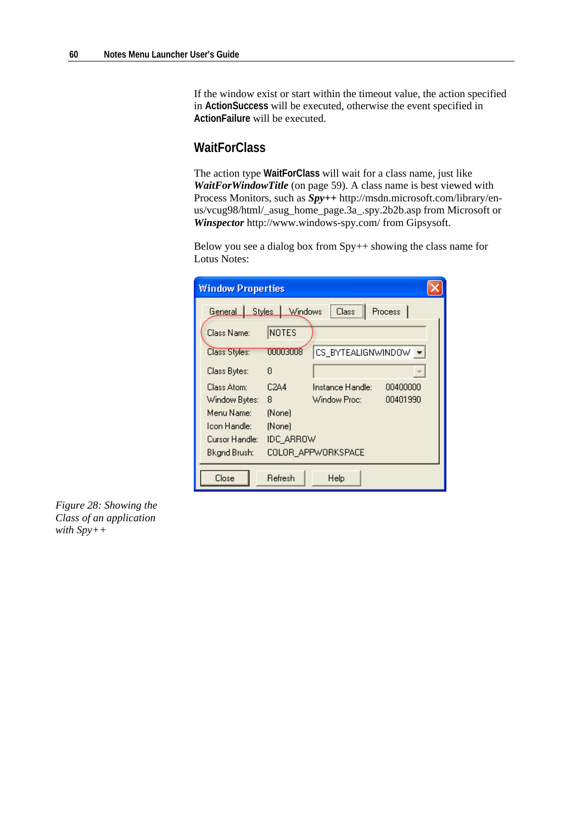If the window exist or start within the timeout value, the action specified in **ActionSuccess** will be executed, otherwise the event specified in **ActionFailure** will be executed.

### **WaitForClass**

The action type **WaitForClass** will wait for a class name, just like *WaitForWindowTitle* (on page 59). A class name is best viewed with Process Monitors, such as *Spy++* http://msdn.microsoft.com/library/enus/vcug98/html/\_asug\_home\_page.3a\_.spy.2b2b.asp from Microsoft or *Winspector* http://www.windows-spy.com/ from Gipsysoft.

Below you see a dialog box from  $Spy++$  showing the class name for Lotus Notes:

| <b>Window Properties</b>                          |                   |                              |  |  |  |
|---------------------------------------------------|-------------------|------------------------------|--|--|--|
| General Styles Windows<br>Process<br><b>Elass</b> |                   |                              |  |  |  |
| Class Name:                                       | NOTES             |                              |  |  |  |
| Class Styles:                                     | 00003008          | CS_BYTEALIGNWINDOW   -       |  |  |  |
| Class Bytes:                                      | n                 |                              |  |  |  |
| Class Atom:                                       | C <sub>2</sub> A4 | Instance Handle:<br>00400000 |  |  |  |
| Window Bytes:                                     | 8                 | 00401990<br>Window Proc:     |  |  |  |
| Menu Name:<br>Icon Handle:                        | (None)<br>(None)  |                              |  |  |  |
| Cursor Handle:<br>IDC ARROW                       |                   |                              |  |  |  |
| COLOR_APPWORKSPACE<br>Bkgnd Brush:                |                   |                              |  |  |  |
| Close                                             | Refresh           | Help                         |  |  |  |

*Figure 28: Showing the Class of an application with Spy++*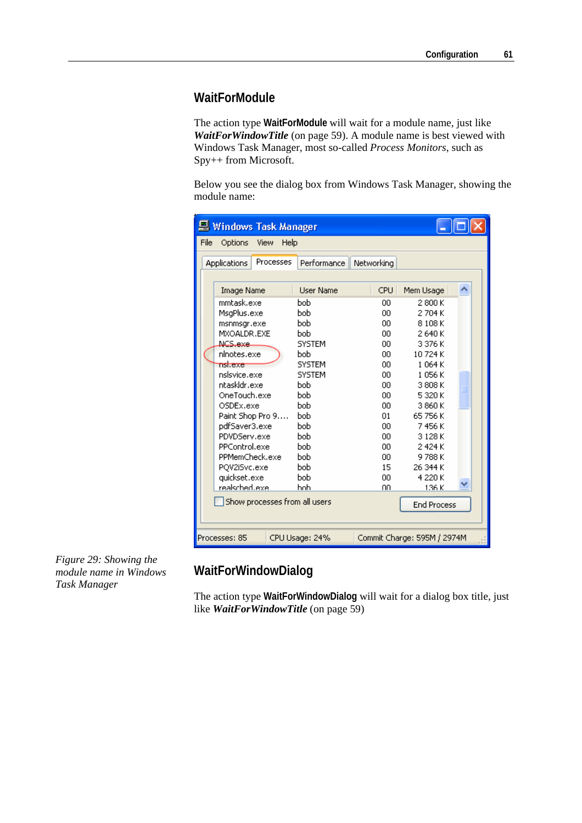#### **WaitForModule**

The action type **WaitForModule** will wait for a module name, just like *WaitForWindowTitle* (on page 59). A module name is best viewed with Windows Task Manager, most so-called *Process Monitors*, such as Spy++ from Microsoft.

Below you see the dialog box from Windows Task Manager, showing the module name:

| <b>Windows Task Manager</b>                                    |                  |                  |                    |           |  |  |  |  |
|----------------------------------------------------------------|------------------|------------------|--------------------|-----------|--|--|--|--|
| File<br>Options<br>View<br>Help                                |                  |                  |                    |           |  |  |  |  |
| Processes<br><b>Applications</b>                               |                  | Performance      | Networking         |           |  |  |  |  |
|                                                                |                  |                  |                    |           |  |  |  |  |
|                                                                | Image Name       | <b>User Name</b> | CPU.               | Mem Usage |  |  |  |  |
|                                                                | mmtask.exe       | <b>bob</b>       | ۵O                 | 2800K     |  |  |  |  |
|                                                                | MsgPlus.exe      | <b>bob</b>       | OO.                | 2704K     |  |  |  |  |
|                                                                | msnmsgr.exe      | <b>bob</b>       | 00                 | 8108K     |  |  |  |  |
|                                                                | MXOALDR.EXE      | bob              | 00                 | 2640 K    |  |  |  |  |
|                                                                | NCS.exe.         | <b>SYSTEM</b>    | OO.                | 3376K     |  |  |  |  |
|                                                                | ninotes.exe      | bob              | 00                 | 10724K    |  |  |  |  |
|                                                                | nsl.exe          | <b>SYSTEM</b>    | 00                 | 1064K     |  |  |  |  |
|                                                                | nslsvice.exe     | <b>SYSTEM</b>    | 00                 | 1056K     |  |  |  |  |
|                                                                | ntaskldr.exe     | bob              | 00                 | 3 808 K   |  |  |  |  |
|                                                                | OneTouch.exe     | <b>bob</b>       | 00                 | 5 320 K   |  |  |  |  |
|                                                                | OSDEx.exe        | hoh.             | 00                 | 3 860 K   |  |  |  |  |
|                                                                | Paint Shop Pro 9 | bob              | 01                 | 65 756 K  |  |  |  |  |
|                                                                | pdfSaver3.exe    | bob              | 00                 | 7456 K    |  |  |  |  |
|                                                                | PDVDServ.exe     | bob              | 00                 | 3128K     |  |  |  |  |
|                                                                | PPControl.exe    | bob              | OO.                | 2424K     |  |  |  |  |
|                                                                | PPMemCheck.exe   | bob              | 00                 | 9788K     |  |  |  |  |
|                                                                | PQV2iSvc.exe     | bob              | 15                 | 26 344 K  |  |  |  |  |
|                                                                | quickset.exe     | bob              | OO.                | 4 220 K   |  |  |  |  |
|                                                                | realsched.exe    | hoh              | nn                 | 136 K     |  |  |  |  |
| Show processes from all users                                  |                  |                  | <b>End Process</b> |           |  |  |  |  |
|                                                                |                  |                  |                    |           |  |  |  |  |
| Processes: 85<br>CPU Usage: 24%<br>Commit Charge: 595M / 2974M |                  |                  |                    |           |  |  |  |  |

*Figure 29: Showing the module name in Windows Task Manager* 

### **WaitForWindowDialog**

The action type **WaitForWindowDialog** will wait for a dialog box title, just like *WaitForWindowTitle* (on page 59)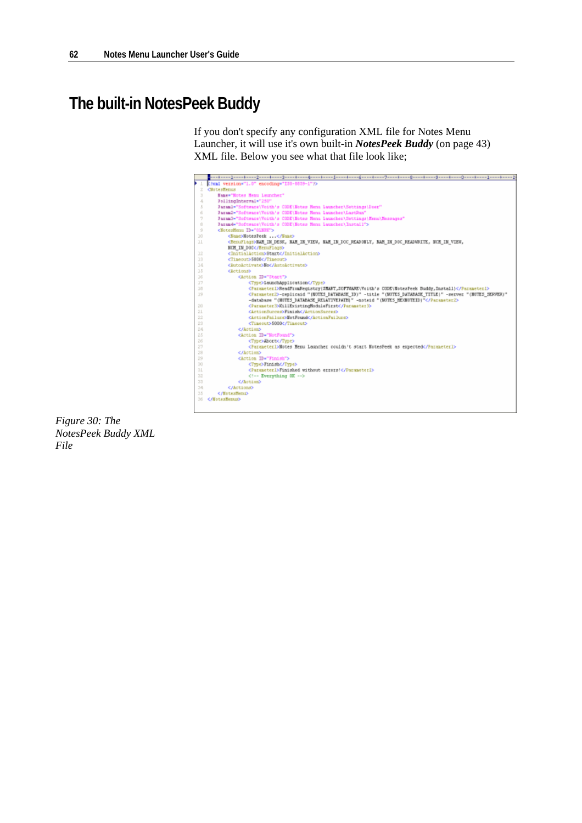# **The built-in NotesPeek Buddy**

If you don't specify any configuration XML file for Notes Menu Launcher, it will use it's own built-in *NotesPeek Buddy* (on page 43) XML file. Below you see what that file look like;



*Figure 30: The NotesPeek Buddy XML File*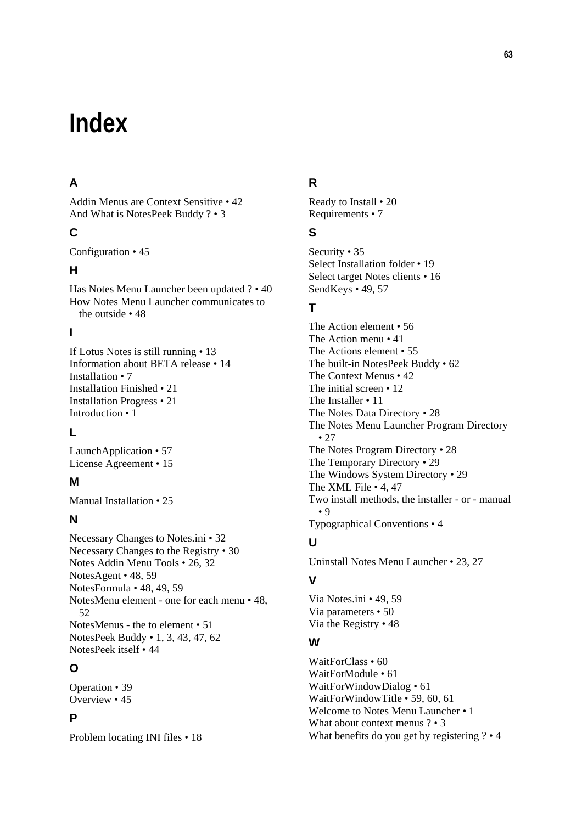# **Index**

### **A**

Addin Menus are Context Sensitive • 42 And What is NotesPeek Buddy ? • 3

### **C**

Configuration • 45

#### **H**

Has Notes Menu Launcher been updated ? • 40 How Notes Menu Launcher communicates to the outside • 48

### **I**

If Lotus Notes is still running • 13 Information about BETA release • 14 Installation • 7 Installation Finished • 21 Installation Progress • 21 Introduction • 1

### **L**

LaunchApplication • 57 License Agreement • 15

### **M**

Manual Installation • 25

### **N**

Necessary Changes to Notes.ini • 32 Necessary Changes to the Registry • 30 Notes Addin Menu Tools • 26, 32 NotesAgent • 48, 59 NotesFormula • 48, 49, 59 NotesMenu element - one for each menu • 48, 52 NotesMenus - the to element • 51 NotesPeek Buddy • 1, 3, 43, 47, 62 NotesPeek itself • 44

### **O**

Operation • 39 Overview • 45

### **P**

Problem locating INI files • 18

### **R**

Ready to Install • 20 Requirements • 7

#### **S**

Security • 35 Select Installation folder • 19 Select target Notes clients • 16 SendKeys • 49, 57

### **T**

The Action element • 56 The Action menu • 41 The Actions element • 55 The built-in NotesPeek Buddy • 62 The Context Menus • 42 The initial screen • 12 The Installer • 11 The Notes Data Directory • 28 The Notes Menu Launcher Program Directory • 27 The Notes Program Directory • 28 The Temporary Directory • 29 The Windows System Directory • 29 The XML File • 4, 47 Two install methods, the installer - or - manual • 9 Typographical Conventions • 4

### **U**

Uninstall Notes Menu Launcher • 23, 27

### **V**

Via Notes.ini • 49, 59 Via parameters • 50 Via the Registry • 48

#### **W**

WaitForClass • 60 WaitForModule • 61 WaitForWindowDialog • 61 WaitForWindowTitle • 59, 60, 61 Welcome to Notes Menu Launcher • 1 What about context menus ? • 3 What benefits do you get by registering ? • 4